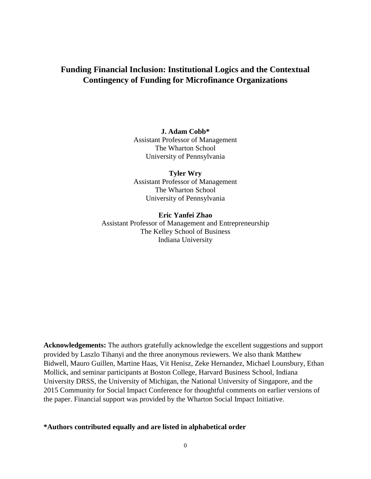# **Funding Financial Inclusion: Institutional Logics and the Contextual Contingency of Funding for Microfinance Organizations**

**J. Adam Cobb\*** Assistant Professor of Management The Wharton School University of Pennsylvania

**Tyler Wry** Assistant Professor of Management The Wharton School University of Pennsylvania

# **Eric Yanfei Zhao**

Assistant Professor of Management and Entrepreneurship The Kelley School of Business Indiana University

**Acknowledgements:** The authors gratefully acknowledge the excellent suggestions and support provided by Laszlo Tihanyi and the three anonymous reviewers. We also thank Matthew Bidwell, Mauro Guillen, Martine Haas, Vit Henisz, Zeke Hernandez, Michael Lounsbury, Ethan Mollick, and seminar participants at Boston College, Harvard Business School, Indiana University DRSS, the University of Michigan, the National University of Singapore, and the 2015 Community for Social Impact Conference for thoughtful comments on earlier versions of the paper. Financial support was provided by the Wharton Social Impact Initiative.

# **\*Authors contributed equally and are listed in alphabetical order**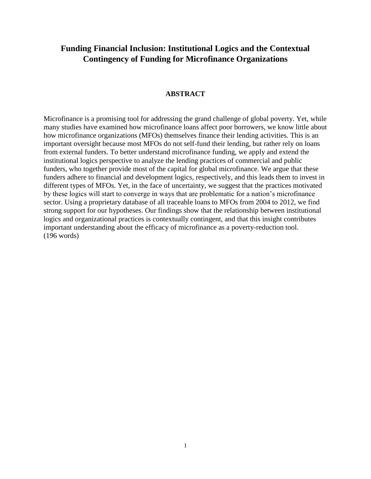# **Funding Financial Inclusion: Institutional Logics and the Contextual Contingency of Funding for Microfinance Organizations**

# **ABSTRACT**

Microfinance is a promising tool for addressing the grand challenge of global poverty. Yet, while many studies have examined how microfinance loans affect poor borrowers, we know little about how microfinance organizations (MFOs) themselves finance their lending activities. This is an important oversight because most MFOs do not self-fund their lending, but rather rely on loans from external funders. To better understand microfinance funding, we apply and extend the institutional logics perspective to analyze the lending practices of commercial and public funders, who together provide most of the capital for global microfinance. We argue that these funders adhere to financial and development logics, respectively, and this leads them to invest in different types of MFOs. Yet, in the face of uncertainty, we suggest that the practices motivated by these logics will start to converge in ways that are problematic for a nation's microfinance sector. Using a proprietary database of all traceable loans to MFOs from 2004 to 2012, we find strong support for our hypotheses. Our findings show that the relationship between institutional logics and organizational practices is contextually contingent, and that this insight contributes important understanding about the efficacy of microfinance as a poverty-reduction tool. (196 words)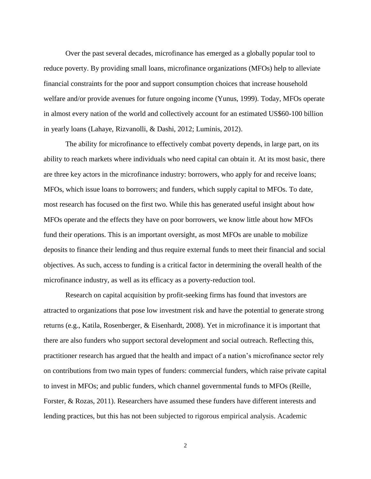Over the past several decades, microfinance has emerged as a globally popular tool to reduce poverty. By providing small loans, microfinance organizations (MFOs) help to alleviate financial constraints for the poor and support consumption choices that increase household welfare and/or provide avenues for future ongoing income (Yunus, 1999). Today, MFOs operate in almost every nation of the world and collectively account for an estimated US\$60-100 billion in yearly loans (Lahaye, Rizvanolli, & Dashi, 2012; Luminis, 2012).

The ability for microfinance to effectively combat poverty depends, in large part, on its ability to reach markets where individuals who need capital can obtain it. At its most basic, there are three key actors in the microfinance industry: borrowers, who apply for and receive loans; MFOs, which issue loans to borrowers; and funders, which supply capital to MFOs. To date, most research has focused on the first two. While this has generated useful insight about how MFOs operate and the effects they have on poor borrowers, we know little about how MFOs fund their operations. This is an important oversight, as most MFOs are unable to mobilize deposits to finance their lending and thus require external funds to meet their financial and social objectives. As such, access to funding is a critical factor in determining the overall health of the microfinance industry, as well as its efficacy as a poverty-reduction tool.

Research on capital acquisition by profit-seeking firms has found that investors are attracted to organizations that pose low investment risk and have the potential to generate strong returns (e.g., Katila, Rosenberger, & Eisenhardt, 2008). Yet in microfinance it is important that there are also funders who support sectoral development and social outreach. Reflecting this, practitioner research has argued that the health and impact of a nation's microfinance sector rely on contributions from two main types of funders: commercial funders, which raise private capital to invest in MFOs; and public funders, which channel governmental funds to MFOs (Reille, Forster, & Rozas, 2011). Researchers have assumed these funders have different interests and lending practices, but this has not been subjected to rigorous empirical analysis. Academic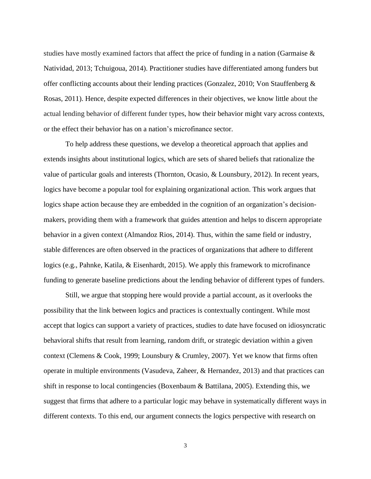studies have mostly examined factors that affect the price of funding in a nation (Garmaise  $\&$ Natividad, 2013; Tchuigoua, 2014). Practitioner studies have differentiated among funders but offer conflicting accounts about their lending practices (Gonzalez, 2010; Von Stauffenberg & Rosas, 2011). Hence, despite expected differences in their objectives, we know little about the actual lending behavior of different funder types, how their behavior might vary across contexts, or the effect their behavior has on a nation's microfinance sector.

To help address these questions, we develop a theoretical approach that applies and extends insights about institutional logics, which are sets of shared beliefs that rationalize the value of particular goals and interests (Thornton, Ocasio, & Lounsbury, 2012). In recent years, logics have become a popular tool for explaining organizational action. This work argues that logics shape action because they are embedded in the cognition of an organization's decisionmakers, providing them with a framework that guides attention and helps to discern appropriate behavior in a given context (Almandoz Rios, 2014). Thus, within the same field or industry, stable differences are often observed in the practices of organizations that adhere to different logics (e.g., Pahnke, Katila, & Eisenhardt, 2015). We apply this framework to microfinance funding to generate baseline predictions about the lending behavior of different types of funders.

Still, we argue that stopping here would provide a partial account, as it overlooks the possibility that the link between logics and practices is contextually contingent. While most accept that logics can support a variety of practices, studies to date have focused on idiosyncratic behavioral shifts that result from learning, random drift, or strategic deviation within a given context (Clemens & Cook, 1999; Lounsbury & Crumley, 2007). Yet we know that firms often operate in multiple environments (Vasudeva, Zaheer, & Hernandez, 2013) and that practices can shift in response to local contingencies (Boxenbaum & Battilana, 2005). Extending this, we suggest that firms that adhere to a particular logic may behave in systematically different ways in different contexts. To this end, our argument connects the logics perspective with research on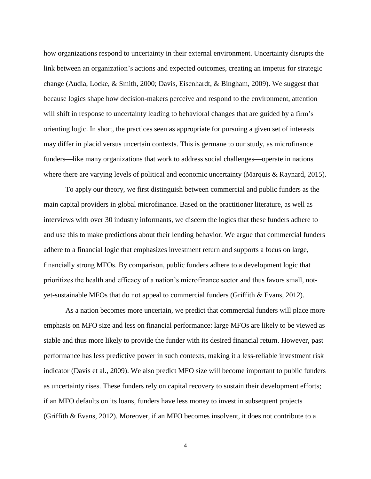how organizations respond to uncertainty in their external environment. Uncertainty disrupts the link between an organization's actions and expected outcomes, creating an impetus for strategic change (Audia, Locke, & Smith, 2000; Davis, Eisenhardt, & Bingham, 2009). We suggest that because logics shape how decision-makers perceive and respond to the environment, attention will shift in response to uncertainty leading to behavioral changes that are guided by a firm's orienting logic. In short, the practices seen as appropriate for pursuing a given set of interests may differ in placid versus uncertain contexts. This is germane to our study, as microfinance funders—like many organizations that work to address social challenges—operate in nations where there are varying levels of political and economic uncertainty (Marquis & Raynard, 2015).

To apply our theory, we first distinguish between commercial and public funders as the main capital providers in global microfinance. Based on the practitioner literature, as well as interviews with over 30 industry informants, we discern the logics that these funders adhere to and use this to make predictions about their lending behavior. We argue that commercial funders adhere to a financial logic that emphasizes investment return and supports a focus on large, financially strong MFOs. By comparison, public funders adhere to a development logic that prioritizes the health and efficacy of a nation's microfinance sector and thus favors small, notyet-sustainable MFOs that do not appeal to commercial funders (Griffith & Evans, 2012).

As a nation becomes more uncertain, we predict that commercial funders will place more emphasis on MFO size and less on financial performance: large MFOs are likely to be viewed as stable and thus more likely to provide the funder with its desired financial return. However, past performance has less predictive power in such contexts, making it a less-reliable investment risk indicator (Davis et al., 2009). We also predict MFO size will become important to public funders as uncertainty rises. These funders rely on capital recovery to sustain their development efforts; if an MFO defaults on its loans, funders have less money to invest in subsequent projects (Griffith & Evans, 2012). Moreover, if an MFO becomes insolvent, it does not contribute to a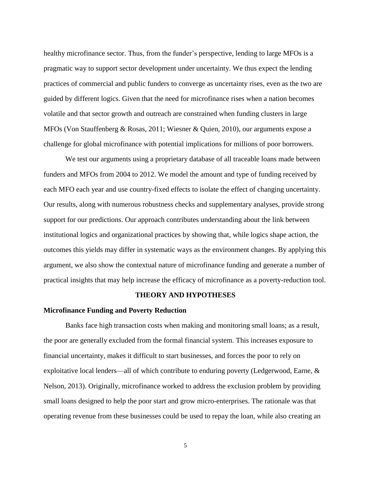healthy microfinance sector. Thus, from the funder's perspective, lending to large MFOs is a pragmatic way to support sector development under uncertainty. We thus expect the lending practices of commercial and public funders to converge as uncertainty rises, even as the two are guided by different logics. Given that the need for microfinance rises when a nation becomes volatile and that sector growth and outreach are constrained when funding clusters in large MFOs (Von Stauffenberg & Rosas, 2011; Wiesner & Quien, 2010), our arguments expose a challenge for global microfinance with potential implications for millions of poor borrowers.

We test our arguments using a proprietary database of all traceable loans made between funders and MFOs from 2004 to 2012. We model the amount and type of funding received by each MFO each year and use country-fixed effects to isolate the effect of changing uncertainty. Our results, along with numerous robustness checks and supplementary analyses, provide strong support for our predictions. Our approach contributes understanding about the link between institutional logics and organizational practices by showing that, while logics shape action, the outcomes this yields may differ in systematic ways as the environment changes. By applying this argument, we also show the contextual nature of microfinance funding and generate a number of practical insights that may help increase the efficacy of microfinance as a poverty-reduction tool.

#### **THEORY AND HYPOTHESES**

#### **Microfinance Funding and Poverty Reduction**

Banks face high transaction costs when making and monitoring small loans; as a result, the poor are generally excluded from the formal financial system. This increases exposure to financial uncertainty, makes it difficult to start businesses, and forces the poor to rely on exploitative local lenders—all of which contribute to enduring poverty (Ledgerwood, Earne, & Nelson, 2013). Originally, microfinance worked to address the exclusion problem by providing small loans designed to help the poor start and grow micro-enterprises. The rationale was that operating revenue from these businesses could be used to repay the loan, while also creating an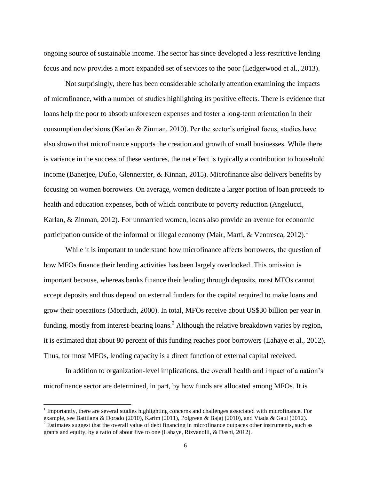ongoing source of sustainable income. The sector has since developed a less-restrictive lending focus and now provides a more expanded set of services to the poor (Ledgerwood et al., 2013).

Not surprisingly, there has been considerable scholarly attention examining the impacts of microfinance, with a number of studies highlighting its positive effects. There is evidence that loans help the poor to absorb unforeseen expenses and foster a long-term orientation in their consumption decisions (Karlan & Zinman, 2010). Per the sector's original focus, studies have also shown that microfinance supports the creation and growth of small businesses. While there is variance in the success of these ventures, the net effect is typically a contribution to household income (Banerjee, Duflo, Glennerster, & Kinnan, 2015). Microfinance also delivers benefits by focusing on women borrowers. On average, women dedicate a larger portion of loan proceeds to health and education expenses, both of which contribute to poverty reduction (Angelucci, Karlan, & Zinman, 2012). For unmarried women, loans also provide an avenue for economic participation outside of the informal or illegal economy (Mair, Marti, & Ventresca, 2012).<sup>1</sup>

While it is important to understand how microfinance affects borrowers, the question of how MFOs finance their lending activities has been largely overlooked. This omission is important because, whereas banks finance their lending through deposits, most MFOs cannot accept deposits and thus depend on external funders for the capital required to make loans and grow their operations (Morduch, 2000). In total, MFOs receive about US\$30 billion per year in funding, mostly from interest-bearing loans.<sup>2</sup> Although the relative breakdown varies by region, it is estimated that about 80 percent of this funding reaches poor borrowers (Lahaye et al., 2012). Thus, for most MFOs, lending capacity is a direct function of external capital received.

In addition to organization-level implications, the overall health and impact of a nation's microfinance sector are determined, in part, by how funds are allocated among MFOs. It is

 $\overline{\phantom{a}}$ 

 $<sup>1</sup>$  Importantly, there are several studies highlighting concerns and challenges associated with microfinance. For</sup> example, see Battilana & Dorado (2010), Karim (2011), Polgreen & Bajaj (2010), and Viada & Gaul (2012).  $2^{2}$  Estimates suggest that the overall value of debt financing in microfinance outpaces other instruments, such as

grants and equity, by a ratio of about five to one (Lahaye, Rizvanolli, & Dashi, 2012).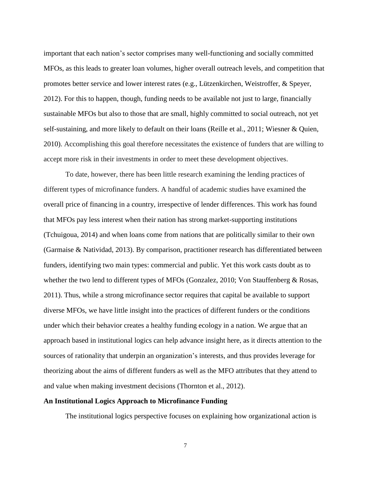important that each nation's sector comprises many well-functioning and socially committed MFOs, as this leads to greater loan volumes, higher overall outreach levels, and competition that promotes better service and lower interest rates (e.g., Lützenkirchen, Weistroffer, & Speyer, 2012). For this to happen, though, funding needs to be available not just to large, financially sustainable MFOs but also to those that are small, highly committed to social outreach, not yet self-sustaining, and more likely to default on their loans (Reille et al., 2011; Wiesner & Quien, 2010). Accomplishing this goal therefore necessitates the existence of funders that are willing to accept more risk in their investments in order to meet these development objectives.

To date, however, there has been little research examining the lending practices of different types of microfinance funders. A handful of academic studies have examined the overall price of financing in a country, irrespective of lender differences. This work has found that MFOs pay less interest when their nation has strong market-supporting institutions (Tchuigoua, 2014) and when loans come from nations that are politically similar to their own (Garmaise & Natividad, 2013). By comparison, practitioner research has differentiated between funders, identifying two main types: commercial and public. Yet this work casts doubt as to whether the two lend to different types of MFOs (Gonzalez, 2010; Von Stauffenberg & Rosas, 2011). Thus, while a strong microfinance sector requires that capital be available to support diverse MFOs, we have little insight into the practices of different funders or the conditions under which their behavior creates a healthy funding ecology in a nation. We argue that an approach based in institutional logics can help advance insight here, as it directs attention to the sources of rationality that underpin an organization's interests, and thus provides leverage for theorizing about the aims of different funders as well as the MFO attributes that they attend to and value when making investment decisions (Thornton et al., 2012).

# **An Institutional Logics Approach to Microfinance Funding**

The institutional logics perspective focuses on explaining how organizational action is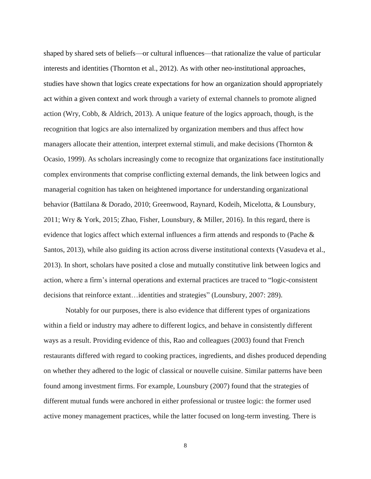shaped by shared sets of beliefs—or cultural influences—that rationalize the value of particular interests and identities (Thornton et al., 2012). As with other neo-institutional approaches, studies have shown that logics create expectations for how an organization should appropriately act within a given context and work through a variety of external channels to promote aligned action (Wry, Cobb, & Aldrich, 2013). A unique feature of the logics approach, though, is the recognition that logics are also internalized by organization members and thus affect how managers allocate their attention, interpret external stimuli, and make decisions (Thornton & Ocasio, 1999). As scholars increasingly come to recognize that organizations face institutionally complex environments that comprise conflicting external demands, the link between logics and managerial cognition has taken on heightened importance for understanding organizational behavior (Battilana & Dorado, 2010; Greenwood, Raynard, Kodeih, Micelotta, & Lounsbury, 2011; Wry & York, 2015; Zhao, Fisher, Lounsbury, & Miller, 2016). In this regard, there is evidence that logics affect which external influences a firm attends and responds to (Pache & Santos, 2013), while also guiding its action across diverse institutional contexts (Vasudeva et al., 2013). In short, scholars have posited a close and mutually constitutive link between logics and action, where a firm's internal operations and external practices are traced to "logic-consistent decisions that reinforce extant…identities and strategies" (Lounsbury, 2007: 289).

Notably for our purposes, there is also evidence that different types of organizations within a field or industry may adhere to different logics, and behave in consistently different ways as a result. Providing evidence of this, Rao and colleagues (2003) found that French restaurants differed with regard to cooking practices, ingredients, and dishes produced depending on whether they adhered to the logic of classical or nouvelle cuisine. Similar patterns have been found among investment firms. For example, Lounsbury (2007) found that the strategies of different mutual funds were anchored in either professional or trustee logic: the former used active money management practices, while the latter focused on long-term investing. There is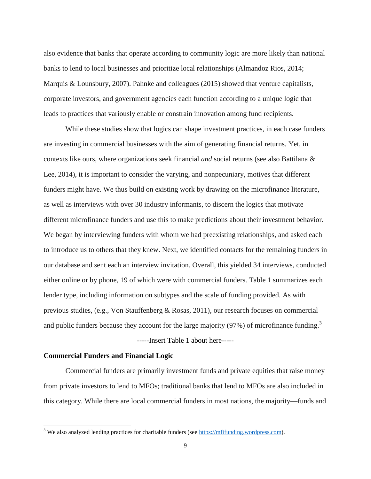also evidence that banks that operate according to community logic are more likely than national banks to lend to local businesses and prioritize local relationships (Almandoz Rios, 2014; Marquis & Lounsbury, 2007). Pahnke and colleagues (2015) showed that venture capitalists, corporate investors, and government agencies each function according to a unique logic that leads to practices that variously enable or constrain innovation among fund recipients.

While these studies show that logics can shape investment practices, in each case funders are investing in commercial businesses with the aim of generating financial returns. Yet, in contexts like ours, where organizations seek financial *and* social returns (see also Battilana & Lee, 2014), it is important to consider the varying, and nonpecuniary, motives that different funders might have. We thus build on existing work by drawing on the microfinance literature, as well as interviews with over 30 industry informants, to discern the logics that motivate different microfinance funders and use this to make predictions about their investment behavior. We began by interviewing funders with whom we had preexisting relationships, and asked each to introduce us to others that they knew. Next, we identified contacts for the remaining funders in our database and sent each an interview invitation. Overall, this yielded 34 interviews, conducted either online or by phone, 19 of which were with commercial funders. Table 1 summarizes each lender type, including information on subtypes and the scale of funding provided. As with previous studies, (e.g., Von Stauffenberg & Rosas, 2011), our research focuses on commercial and public funders because they account for the large majority (97%) of microfinance funding.<sup>3</sup> -----Insert Table 1 about here-----

# **Commercial Funders and Financial Logic**

 $\overline{\phantom{a}}$ 

Commercial funders are primarily investment funds and private equities that raise money from private investors to lend to MFOs; traditional banks that lend to MFOs are also included in this category. While there are local commercial funders in most nations, the majority—funds and

 $3$  We also analyzed lending practices for charitable funders (see  $\frac{https://mffunding.wordsopress.com)}{https://mffunding.wordsopress.com)}$ .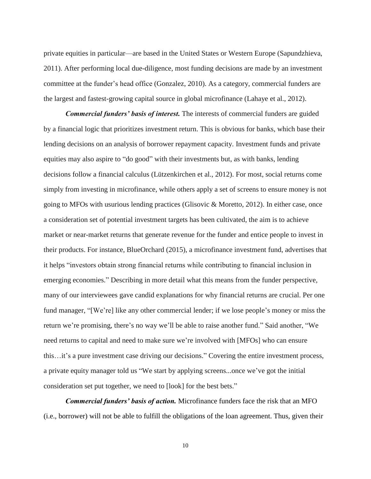private equities in particular—are based in the United States or Western Europe (Sapundzhieva, 2011). After performing local due-diligence, most funding decisions are made by an investment committee at the funder's head office (Gonzalez, 2010). As a category, commercial funders are the largest and fastest-growing capital source in global microfinance (Lahaye et al., 2012).

*Commercial funders' basis of interest.* The interests of commercial funders are guided by a financial logic that prioritizes investment return. This is obvious for banks, which base their lending decisions on an analysis of borrower repayment capacity. Investment funds and private equities may also aspire to "do good" with their investments but, as with banks, lending decisions follow a financial calculus (Lützenkirchen et al., 2012). For most, social returns come simply from investing in microfinance, while others apply a set of screens to ensure money is not going to MFOs with usurious lending practices (Glisovic & Moretto, 2012). In either case, once a consideration set of potential investment targets has been cultivated, the aim is to achieve market or near-market returns that generate revenue for the funder and entice people to invest in their products. For instance, BlueOrchard (2015), a microfinance investment fund, advertises that it helps "investors obtain strong financial returns while contributing to financial inclusion in emerging economies." Describing in more detail what this means from the funder perspective, many of our interviewees gave candid explanations for why financial returns are crucial. Per one fund manager, "[We're] like any other commercial lender; if we lose people's money or miss the return we're promising, there's no way we'll be able to raise another fund." Said another, "We need returns to capital and need to make sure we're involved with [MFOs] who can ensure this…it's a pure investment case driving our decisions." Covering the entire investment process, a private equity manager told us "We start by applying screens...once we've got the initial consideration set put together, we need to [look] for the best bets."

*Commercial funders' basis of action.* Microfinance funders face the risk that an MFO (i.e., borrower) will not be able to fulfill the obligations of the loan agreement. Thus, given their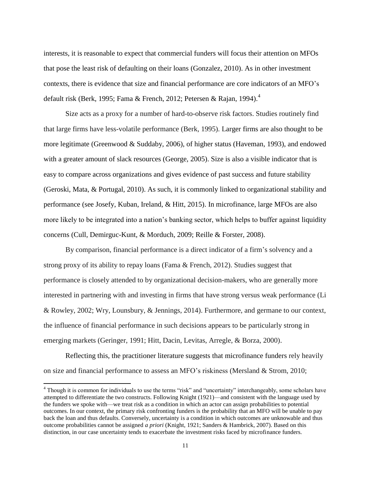interests, it is reasonable to expect that commercial funders will focus their attention on MFOs that pose the least risk of defaulting on their loans (Gonzalez, 2010). As in other investment contexts, there is evidence that size and financial performance are core indicators of an MFO's default risk (Berk, 1995; Fama & French, 2012; Petersen & Rajan, 1994).<sup>4</sup>

Size acts as a proxy for a number of hard-to-observe risk factors. Studies routinely find that large firms have less-volatile performance (Berk, 1995). Larger firms are also thought to be more legitimate (Greenwood & Suddaby, 2006), of higher status (Haveman, 1993), and endowed with a greater amount of slack resources (George, 2005). Size is also a visible indicator that is easy to compare across organizations and gives evidence of past success and future stability (Geroski, Mata, & Portugal, 2010). As such, it is commonly linked to organizational stability and performance (see Josefy, Kuban, Ireland, & Hitt, 2015). In microfinance, large MFOs are also more likely to be integrated into a nation's banking sector, which helps to buffer against liquidity concerns (Cull, Demirguc-Kunt, & Morduch, 2009; Reille & Forster, 2008).

By comparison, financial performance is a direct indicator of a firm's solvency and a strong proxy of its ability to repay loans (Fama & French, 2012). Studies suggest that performance is closely attended to by organizational decision-makers, who are generally more interested in partnering with and investing in firms that have strong versus weak performance (Li & Rowley, 2002; Wry, Lounsbury, & Jennings, 2014). Furthermore, and germane to our context, the influence of financial performance in such decisions appears to be particularly strong in emerging markets (Geringer, 1991; Hitt, Dacin, Levitas, Arregle, & Borza, 2000).

Reflecting this, the practitioner literature suggests that microfinance funders rely heavily on size and financial performance to assess an MFO's riskiness (Mersland & Strom, 2010;

 $\overline{\phantom{a}}$ 

<sup>&</sup>lt;sup>4</sup> Though it is common for individuals to use the terms "risk" and "uncertainty" interchangeably, some scholars have attempted to differentiate the two constructs. Following Knight (1921)—and consistent with the language used by the funders we spoke with—we treat risk as a condition in which an actor can assign probabilities to potential outcomes. In our context, the primary risk confronting funders is the probability that an MFO will be unable to pay back the loan and thus defaults. Conversely, uncertainty is a condition in which outcomes are unknowable and thus outcome probabilities cannot be assigned *a priori* (Knight, 1921; Sanders & Hambrick, 2007). Based on this distinction, in our case uncertainty tends to exacerbate the investment risks faced by microfinance funders.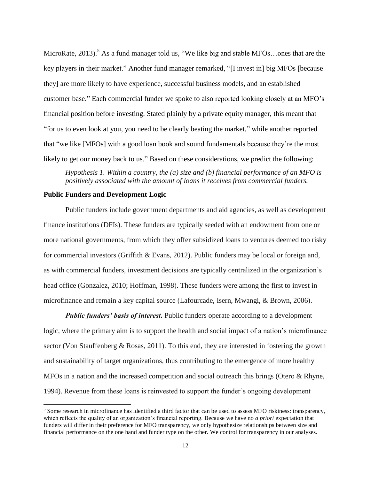MicroRate, 2013).<sup>5</sup> As a fund manager told us, "We like big and stable MFOs...ones that are the key players in their market." Another fund manager remarked, "[I invest in] big MFOs [because they] are more likely to have experience, successful business models, and an established customer base." Each commercial funder we spoke to also reported looking closely at an MFO's financial position before investing. Stated plainly by a private equity manager, this meant that "for us to even look at you, you need to be clearly beating the market," while another reported that "we like [MFOs] with a good loan book and sound fundamentals because they're the most likely to get our money back to us." Based on these considerations, we predict the following:

*Hypothesis 1. Within a country, the (a) size and (b) financial performance of an MFO is positively associated with the amount of loans it receives from commercial funders.*

# **Public Funders and Development Logic**

Public funders include government departments and aid agencies, as well as development finance institutions (DFIs). These funders are typically seeded with an endowment from one or more national governments, from which they offer subsidized loans to ventures deemed too risky for commercial investors (Griffith & Evans, 2012). Public funders may be local or foreign and, as with commercial funders, investment decisions are typically centralized in the organization's head office (Gonzalez, 2010; Hoffman, 1998). These funders were among the first to invest in microfinance and remain a key capital source (Lafourcade, Isern, Mwangi, & Brown, 2006).

*Public funders' basis of interest.* Public funders operate according to a development logic, where the primary aim is to support the health and social impact of a nation's microfinance sector (Von Stauffenberg & Rosas, 2011). To this end, they are interested in fostering the growth and sustainability of target organizations, thus contributing to the emergence of more healthy MFOs in a nation and the increased competition and social outreach this brings (Otero & Rhyne, 1994). Revenue from these loans is reinvested to support the funder's ongoing development

<sup>&</sup>lt;sup>5</sup> Some research in microfinance has identified a third factor that can be used to assess MFO riskiness: transparency, which reflects the quality of an organization's financial reporting. Because we have no *a priori* expectation that funders will differ in their preference for MFO transparency, we only hypothesize relationships between size and financial performance on the one hand and funder type on the other. We control for transparency in our analyses.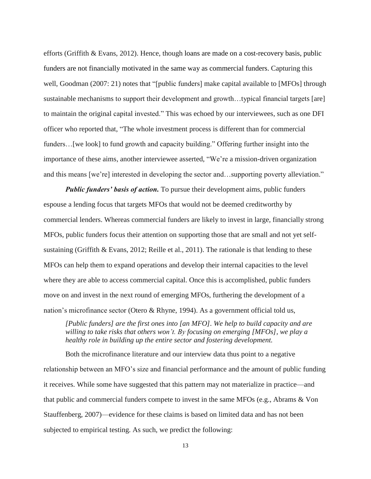efforts (Griffith & Evans, 2012). Hence, though loans are made on a cost-recovery basis, public funders are not financially motivated in the same way as commercial funders. Capturing this well, Goodman (2007: 21) notes that "[public funders] make capital available to [MFOs] through sustainable mechanisms to support their development and growth…typical financial targets [are] to maintain the original capital invested." This was echoed by our interviewees, such as one DFI officer who reported that, "The whole investment process is different than for commercial funders... [we look] to fund growth and capacity building." Offering further insight into the importance of these aims, another interviewee asserted, "We're a mission-driven organization and this means [we're] interested in developing the sector and…supporting poverty alleviation."

*Public funders' basis of action.* To pursue their development aims, public funders espouse a lending focus that targets MFOs that would not be deemed creditworthy by commercial lenders. Whereas commercial funders are likely to invest in large, financially strong MFOs, public funders focus their attention on supporting those that are small and not yet selfsustaining (Griffith & Evans, 2012; Reille et al., 2011). The rationale is that lending to these MFOs can help them to expand operations and develop their internal capacities to the level where they are able to access commercial capital. Once this is accomplished, public funders move on and invest in the next round of emerging MFOs, furthering the development of a nation's microfinance sector (Otero & Rhyne, 1994). As a government official told us,

*[Public funders] are the first ones into [an MFO]. We help to build capacity and are willing to take risks that others won't. By focusing on emerging [MFOs], we play a healthy role in building up the entire sector and fostering development.*

Both the microfinance literature and our interview data thus point to a negative relationship between an MFO's size and financial performance and the amount of public funding it receives. While some have suggested that this pattern may not materialize in practice—and that public and commercial funders compete to invest in the same MFOs (e.g., Abrams & Von Stauffenberg, 2007)—evidence for these claims is based on limited data and has not been subjected to empirical testing. As such, we predict the following: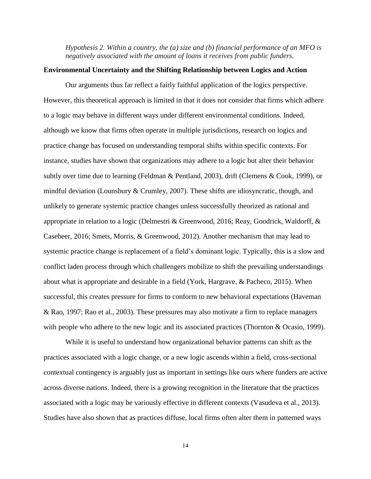*Hypothesis 2. Within a country, the (a) size and (b) financial performance of an MFO is negatively associated with the amount of loans it receives from public funders.*

# **Environmental Uncertainty and the Shifting Relationship between Logics and Action**

Our arguments thus far reflect a fairly faithful application of the logics perspective. However, this theoretical approach is limited in that it does not consider that firms which adhere to a logic may behave in different ways under different environmental conditions. Indeed, although we know that firms often operate in multiple jurisdictions, research on logics and practice change has focused on understanding temporal shifts within specific contexts. For instance, studies have shown that organizations may adhere to a logic but alter their behavior subtly over time due to learning (Feldman & Pentland, 2003), drift (Clemens & Cook, 1999), or mindful deviation (Lounsbury & Crumley, 2007). These shifts are idiosyncratic, though, and unlikely to generate systemic practice changes unless successfully theorized as rational and appropriate in relation to a logic (Delmestri & Greenwood, 2016; Reay, Goodrick, Waldorff, & Casebeer, 2016; Smets, Morris, & Greenwood, 2012). Another mechanism that may lead to systemic practice change is replacement of a field's dominant logic. Typically, this is a slow and conflict laden process through which challengers mobilize to shift the prevailing understandings about what is appropriate and desirable in a field (York, Hargrave, & Pacheco, 2015). When successful, this creates pressure for firms to conform to new behavioral expectations (Haveman & Rao, 1997; Rao et al., 2003). These pressures may also motivate a firm to replace managers with people who adhere to the new logic and its associated practices (Thornton & Ocasio, 1999).

While it is useful to understand how organizational behavior patterns can shift as the practices associated with a logic change, or a new logic ascends within a field, cross-sectional contextual contingency is arguably just as important in settings like ours where funders are active across diverse nations. Indeed, there is a growing recognition in the literature that the practices associated with a logic may be variously effective in different contexts (Vasudeva et al., 2013). Studies have also shown that as practices diffuse, local firms often alter them in patterned ways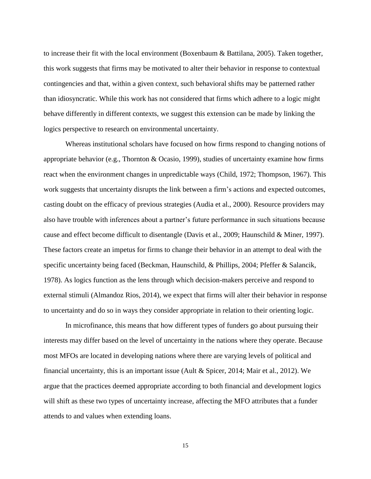to increase their fit with the local environment (Boxenbaum & Battilana, 2005). Taken together, this work suggests that firms may be motivated to alter their behavior in response to contextual contingencies and that, within a given context, such behavioral shifts may be patterned rather than idiosyncratic. While this work has not considered that firms which adhere to a logic might behave differently in different contexts, we suggest this extension can be made by linking the logics perspective to research on environmental uncertainty.

Whereas institutional scholars have focused on how firms respond to changing notions of appropriate behavior (e.g., Thornton & Ocasio, 1999), studies of uncertainty examine how firms react when the environment changes in unpredictable ways (Child, 1972; Thompson, 1967). This work suggests that uncertainty disrupts the link between a firm's actions and expected outcomes, casting doubt on the efficacy of previous strategies (Audia et al., 2000). Resource providers may also have trouble with inferences about a partner's future performance in such situations because cause and effect become difficult to disentangle (Davis et al., 2009; Haunschild & Miner, 1997). These factors create an impetus for firms to change their behavior in an attempt to deal with the specific uncertainty being faced (Beckman, Haunschild, & Phillips, 2004; Pfeffer & Salancik, 1978). As logics function as the lens through which decision-makers perceive and respond to external stimuli (Almandoz Rios, 2014), we expect that firms will alter their behavior in response to uncertainty and do so in ways they consider appropriate in relation to their orienting logic.

In microfinance, this means that how different types of funders go about pursuing their interests may differ based on the level of uncertainty in the nations where they operate. Because most MFOs are located in developing nations where there are varying levels of political and financial uncertainty, this is an important issue (Ault & Spicer, 2014; Mair et al., 2012). We argue that the practices deemed appropriate according to both financial and development logics will shift as these two types of uncertainty increase, affecting the MFO attributes that a funder attends to and values when extending loans.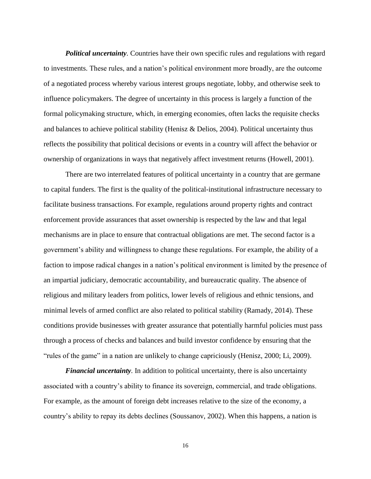*Political uncertainty.* Countries have their own specific rules and regulations with regard to investments. These rules, and a nation's political environment more broadly, are the outcome of a negotiated process whereby various interest groups negotiate, lobby, and otherwise seek to influence policymakers. The degree of uncertainty in this process is largely a function of the formal policymaking structure, which, in emerging economies, often lacks the requisite checks and balances to achieve political stability (Henisz & Delios, 2004). Political uncertainty thus reflects the possibility that political decisions or events in a country will affect the behavior or ownership of organizations in ways that negatively affect investment returns (Howell, 2001).

There are two interrelated features of political uncertainty in a country that are germane to capital funders. The first is the quality of the political-institutional infrastructure necessary to facilitate business transactions. For example, regulations around property rights and contract enforcement provide assurances that asset ownership is respected by the law and that legal mechanisms are in place to ensure that contractual obligations are met. The second factor is a government's ability and willingness to change these regulations. For example, the ability of a faction to impose radical changes in a nation's political environment is limited by the presence of an impartial judiciary, democratic accountability, and bureaucratic quality. The absence of religious and military leaders from politics, lower levels of religious and ethnic tensions, and minimal levels of armed conflict are also related to political stability (Ramady, 2014). These conditions provide businesses with greater assurance that potentially harmful policies must pass through a process of checks and balances and build investor confidence by ensuring that the "rules of the game" in a nation are unlikely to change capriciously (Henisz, 2000; Li, 2009).

*Financial uncertainty.* In addition to political uncertainty, there is also uncertainty associated with a country's ability to finance its sovereign, commercial, and trade obligations. For example, as the amount of foreign debt increases relative to the size of the economy, a country's ability to repay its debts declines (Soussanov, 2002). When this happens, a nation is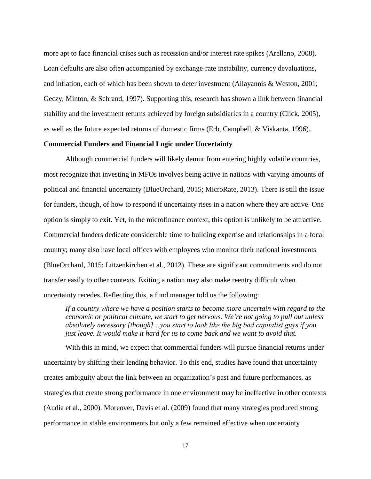more apt to face financial crises such as recession and/or interest rate spikes (Arellano, 2008). Loan defaults are also often accompanied by exchange-rate instability, currency devaluations, and inflation, each of which has been shown to deter investment (Allayannis & Weston, 2001; Geczy, Minton, & Schrand, 1997). Supporting this, research has shown a link between financial stability and the investment returns achieved by foreign subsidiaries in a country (Click, 2005), as well as the future expected returns of domestic firms (Erb, Campbell, & Viskanta, 1996).

# **Commercial Funders and Financial Logic under Uncertainty**

Although commercial funders will likely demur from entering highly volatile countries, most recognize that investing in MFOs involves being active in nations with varying amounts of political and financial uncertainty (BlueOrchard, 2015; MicroRate, 2013). There is still the issue for funders, though, of how to respond if uncertainty rises in a nation where they are active. One option is simply to exit. Yet, in the microfinance context, this option is unlikely to be attractive. Commercial funders dedicate considerable time to building expertise and relationships in a focal country; many also have local offices with employees who monitor their national investments (BlueOrchard, 2015; Lützenkirchen et al., 2012). These are significant commitments and do not transfer easily to other contexts. Exiting a nation may also make reentry difficult when uncertainty recedes. Reflecting this, a fund manager told us the following:

*If a country where we have a position starts to become more uncertain with regard to the economic or political climate, we start to get nervous. We're not going to pull out unless absolutely necessary [though]…you start to look like the big bad capitalist guys if you just leave. It would make it hard for us to come back and we want to avoid that.* 

With this in mind, we expect that commercial funders will pursue financial returns under uncertainty by shifting their lending behavior. To this end, studies have found that uncertainty creates ambiguity about the link between an organization's past and future performances, as strategies that create strong performance in one environment may be ineffective in other contexts (Audia et al., 2000). Moreover, Davis et al. (2009) found that many strategies produced strong performance in stable environments but only a few remained effective when uncertainty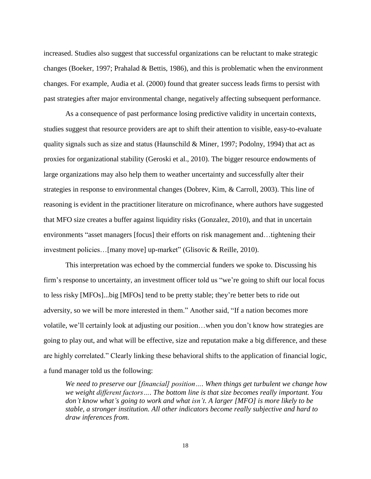increased. Studies also suggest that successful organizations can be reluctant to make strategic changes (Boeker, 1997; Prahalad & Bettis, 1986), and this is problematic when the environment changes. For example, Audia et al. (2000) found that greater success leads firms to persist with past strategies after major environmental change, negatively affecting subsequent performance.

As a consequence of past performance losing predictive validity in uncertain contexts, studies suggest that resource providers are apt to shift their attention to visible, easy-to-evaluate quality signals such as size and status (Haunschild & Miner, 1997; Podolny, 1994) that act as proxies for organizational stability (Geroski et al., 2010). The bigger resource endowments of large organizations may also help them to weather uncertainty and successfully alter their strategies in response to environmental changes (Dobrev, Kim, & Carroll, 2003). This line of reasoning is evident in the practitioner literature on microfinance, where authors have suggested that MFO size creates a buffer against liquidity risks (Gonzalez, 2010), and that in uncertain environments "asset managers [focus] their efforts on risk management and…tightening their investment policies…[many move] up-market" (Glisovic & Reille, 2010).

This interpretation was echoed by the commercial funders we spoke to. Discussing his firm's response to uncertainty, an investment officer told us "we're going to shift our local focus to less risky [MFOs]...big [MFOs] tend to be pretty stable; they're better bets to ride out adversity, so we will be more interested in them." Another said, "If a nation becomes more volatile, we'll certainly look at adjusting our position…when you don't know how strategies are going to play out, and what will be effective, size and reputation make a big difference, and these are highly correlated." Clearly linking these behavioral shifts to the application of financial logic, a fund manager told us the following:

*We need to preserve our [financial] position…. When things get turbulent we change how we weight different factors…. The bottom line is that size becomes really important. You don't know what's going to work and what isn't. A larger [MFO] is more likely to be stable, a stronger institution. All other indicators become really subjective and hard to draw inferences from.*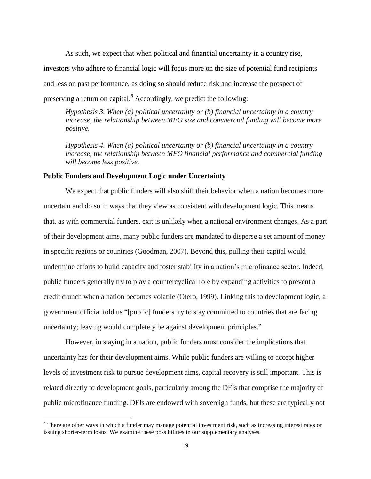As such, we expect that when political and financial uncertainty in a country rise, investors who adhere to financial logic will focus more on the size of potential fund recipients and less on past performance, as doing so should reduce risk and increase the prospect of preserving a return on capital.<sup>6</sup> Accordingly, we predict the following:

*Hypothesis 3. When (a) political uncertainty or (b) financial uncertainty in a country increase, the relationship between MFO size and commercial funding will become more positive.* 

*Hypothesis 4. When (a) political uncertainty or (b) financial uncertainty in a country increase, the relationship between MFO financial performance and commercial funding will become less positive.* 

# **Public Funders and Development Logic under Uncertainty**

 $\overline{\phantom{a}}$ 

We expect that public funders will also shift their behavior when a nation becomes more uncertain and do so in ways that they view as consistent with development logic. This means that, as with commercial funders, exit is unlikely when a national environment changes. As a part of their development aims, many public funders are mandated to disperse a set amount of money in specific regions or countries (Goodman, 2007). Beyond this, pulling their capital would undermine efforts to build capacity and foster stability in a nation's microfinance sector. Indeed, public funders generally try to play a countercyclical role by expanding activities to prevent a credit crunch when a nation becomes volatile (Otero, 1999). Linking this to development logic, a government official told us "[public] funders try to stay committed to countries that are facing uncertainty; leaving would completely be against development principles."

However, in staying in a nation, public funders must consider the implications that uncertainty has for their development aims. While public funders are willing to accept higher levels of investment risk to pursue development aims, capital recovery is still important. This is related directly to development goals, particularly among the DFIs that comprise the majority of public microfinance funding. DFIs are endowed with sovereign funds, but these are typically not

<sup>&</sup>lt;sup>6</sup> There are other ways in which a funder may manage potential investment risk, such as increasing interest rates or issuing shorter-term loans. We examine these possibilities in our supplementary analyses.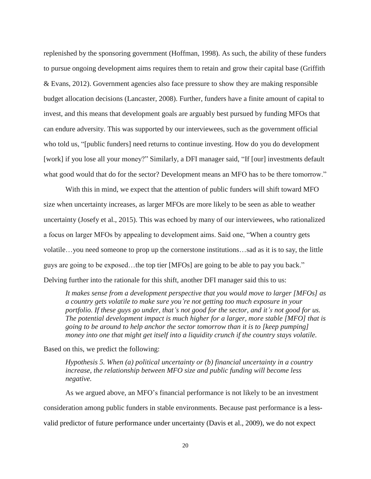replenished by the sponsoring government (Hoffman, 1998). As such, the ability of these funders to pursue ongoing development aims requires them to retain and grow their capital base (Griffith & Evans, 2012). Government agencies also face pressure to show they are making responsible budget allocation decisions (Lancaster, 2008). Further, funders have a finite amount of capital to invest, and this means that development goals are arguably best pursued by funding MFOs that can endure adversity. This was supported by our interviewees, such as the government official who told us, "[public funders] need returns to continue investing. How do you do development [work] if you lose all your money?" Similarly, a DFI manager said, "If [our] investments default what good would that do for the sector? Development means an MFO has to be there tomorrow."

With this in mind, we expect that the attention of public funders will shift toward MFO size when uncertainty increases, as larger MFOs are more likely to be seen as able to weather uncertainty (Josefy et al., 2015). This was echoed by many of our interviewees, who rationalized a focus on larger MFOs by appealing to development aims. Said one, "When a country gets volatile…you need someone to prop up the cornerstone institutions…sad as it is to say, the little guys are going to be exposed…the top tier [MFOs] are going to be able to pay you back." Delving further into the rationale for this shift, another DFI manager said this to us:

*It makes sense from a development perspective that you would move to larger [MFOs] as a country gets volatile to make sure you're not getting too much exposure in your portfolio. If these guys go under, that's not good for the sector, and it's not good for us. The potential development impact is much higher for a larger, more stable [MFO] that is going to be around to help anchor the sector tomorrow than it is to [keep pumping] money into one that might get itself into a liquidity crunch if the country stays volatile.*

Based on this, we predict the following:

*Hypothesis 5. When (a) political uncertainty or (b) financial uncertainty in a country increase, the relationship between MFO size and public funding will become less negative.* 

As we argued above, an MFO's financial performance is not likely to be an investment consideration among public funders in stable environments. Because past performance is a lessvalid predictor of future performance under uncertainty (Davis et al., 2009), we do not expect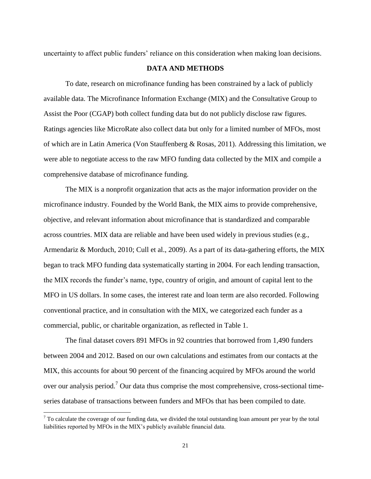uncertainty to affect public funders' reliance on this consideration when making loan decisions.

#### **DATA AND METHODS**

To date, research on microfinance funding has been constrained by a lack of publicly available data. The Microfinance Information Exchange (MIX) and the Consultative Group to Assist the Poor (CGAP) both collect funding data but do not publicly disclose raw figures. Ratings agencies like MicroRate also collect data but only for a limited number of MFOs, most of which are in Latin America (Von Stauffenberg & Rosas, 2011). Addressing this limitation, we were able to negotiate access to the raw MFO funding data collected by the MIX and compile a comprehensive database of microfinance funding.

The MIX is a nonprofit organization that acts as the major information provider on the microfinance industry. Founded by the World Bank, the MIX aims to provide comprehensive, objective, and relevant information about microfinance that is standardized and comparable across countries. MIX data are reliable and have been used widely in previous studies (e.g., Armendariz & Morduch, 2010; Cull et al., 2009). As a part of its data-gathering efforts, the MIX began to track MFO funding data systematically starting in 2004. For each lending transaction, the MIX records the funder's name, type, country of origin, and amount of capital lent to the MFO in US dollars. In some cases, the interest rate and loan term are also recorded. Following conventional practice, and in consultation with the MIX, we categorized each funder as a commercial, public, or charitable organization, as reflected in Table 1.

The final dataset covers 891 MFOs in 92 countries that borrowed from 1,490 funders between 2004 and 2012. Based on our own calculations and estimates from our contacts at the MIX, this accounts for about 90 percent of the financing acquired by MFOs around the world over our analysis period.<sup>7</sup> Our data thus comprise the most comprehensive, cross-sectional timeseries database of transactions between funders and MFOs that has been compiled to date.

 $\overline{\phantom{a}}$ 

 $<sup>7</sup>$  To calculate the coverage of our funding data, we divided the total outstanding loan amount per year by the total</sup> liabilities reported by MFOs in the MIX's publicly available financial data.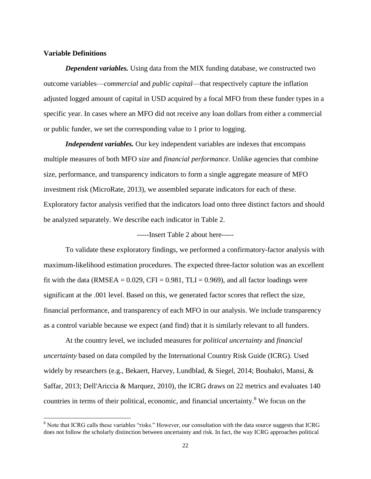# **Variable Definitions**

 $\overline{\phantom{a}}$ 

*Dependent variables.* Using data from the MIX funding database, we constructed two outcome variables—*commercial* and *public capital*—that respectively capture the inflation adjusted logged amount of capital in USD acquired by a focal MFO from these funder types in a specific year. In cases where an MFO did not receive any loan dollars from either a commercial or public funder, we set the corresponding value to 1 prior to logging.

*Independent variables*. Our key independent variables are indexes that encompass multiple measures of both MFO *size* and *financial performance*. Unlike agencies that combine size, performance, and transparency indicators to form a single aggregate measure of MFO investment risk (MicroRate, 2013), we assembled separate indicators for each of these. Exploratory factor analysis verified that the indicators load onto three distinct factors and should be analyzed separately. We describe each indicator in Table 2.

# -----Insert Table 2 about here-----

To validate these exploratory findings, we performed a confirmatory-factor analysis with maximum-likelihood estimation procedures. The expected three-factor solution was an excellent fit with the data (RMSEA =  $0.029$ , CFI =  $0.981$ , TLI =  $0.969$ ), and all factor loadings were significant at the .001 level. Based on this, we generated factor scores that reflect the size, financial performance, and transparency of each MFO in our analysis. We include transparency as a control variable because we expect (and find) that it is similarly relevant to all funders.

At the country level, we included measures for *political uncertainty* and *financial uncertainty* based on data compiled by the International Country Risk Guide (ICRG). Used widely by researchers (e.g., Bekaert, Harvey, Lundblad, & Siegel, 2014; Boubakri, Mansi, & Saffar, 2013; Dell'Ariccia & Marquez, 2010), the ICRG draws on 22 metrics and evaluates 140 countries in terms of their political, economic, and financial uncertainty.<sup>8</sup> We focus on the

<sup>&</sup>lt;sup>8</sup> Note that ICRG calls these variables "risks." However, our consultation with the data source suggests that ICRG does not follow the scholarly distinction between uncertainty and risk. In fact, the way ICRG approaches political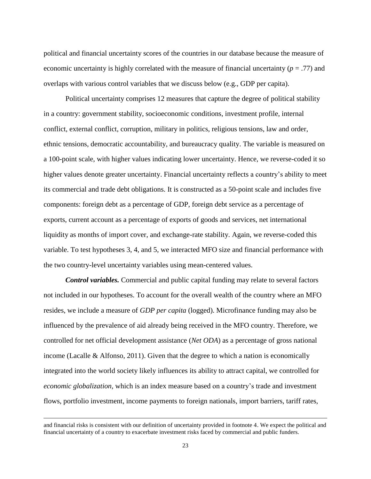political and financial uncertainty scores of the countries in our database because the measure of economic uncertainty is highly correlated with the measure of financial uncertainty (*p* = .77) and overlaps with various control variables that we discuss below (e.g., GDP per capita).

Political uncertainty comprises 12 measures that capture the degree of political stability in a country: government stability, socioeconomic conditions, investment profile, internal conflict, external conflict, corruption, military in politics, religious tensions, law and order, ethnic tensions, democratic accountability, and bureaucracy quality. The variable is measured on a 100-point scale, with higher values indicating lower uncertainty. Hence, we reverse-coded it so higher values denote greater uncertainty. Financial uncertainty reflects a country's ability to meet its commercial and trade debt obligations. It is constructed as a 50-point scale and includes five components: foreign debt as a percentage of GDP, foreign debt service as a percentage of exports, current account as a percentage of exports of goods and services, net international liquidity as months of import cover, and exchange-rate stability. Again, we reverse-coded this variable. To test hypotheses 3, 4, and 5, we interacted MFO size and financial performance with the two country-level uncertainty variables using mean-centered values.

*Control variables.* Commercial and public capital funding may relate to several factors not included in our hypotheses. To account for the overall wealth of the country where an MFO resides, we include a measure of *GDP per capita* (logged). Microfinance funding may also be influenced by the prevalence of aid already being received in the MFO country. Therefore, we controlled for net official development assistance (*Net ODA*) as a percentage of gross national income (Lacalle & Alfonso, 2011). Given that the degree to which a nation is economically integrated into the world society likely influences its ability to attract capital, we controlled for *economic globalization,* which is an index measure based on a country's trade and investment flows, portfolio investment, income payments to foreign nationals, import barriers, tariff rates,

 $\overline{\phantom{a}}$ 

and financial risks is consistent with our definition of uncertainty provided in footnote 4. We expect the political and financial uncertainty of a country to exacerbate investment risks faced by commercial and public funders.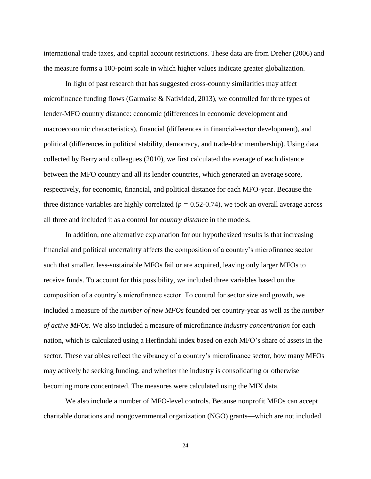international trade taxes, and capital account restrictions. These data are from Dreher (2006) and the measure forms a 100-point scale in which higher values indicate greater globalization.

In light of past research that has suggested cross-country similarities may affect microfinance funding flows (Garmaise & Natividad, 2013), we controlled for three types of lender-MFO country distance: economic (differences in economic development and macroeconomic characteristics), financial (differences in financial-sector development), and political (differences in political stability, democracy, and trade-bloc membership). Using data collected by Berry and colleagues (2010), we first calculated the average of each distance between the MFO country and all its lender countries, which generated an average score, respectively, for economic, financial, and political distance for each MFO-year. Because the three distance variables are highly correlated (*p =* 0.52-0.74), we took an overall average across all three and included it as a control for *country distance* in the models.

In addition, one alternative explanation for our hypothesized results is that increasing financial and political uncertainty affects the composition of a country's microfinance sector such that smaller, less-sustainable MFOs fail or are acquired, leaving only larger MFOs to receive funds. To account for this possibility, we included three variables based on the composition of a country's microfinance sector. To control for sector size and growth, we included a measure of the *number of new MFOs* founded per country-year as well as the *number of active MFOs*. We also included a measure of microfinance *industry concentration* for each nation, which is calculated using a Herfindahl index based on each MFO's share of assets in the sector. These variables reflect the vibrancy of a country's microfinance sector, how many MFOs may actively be seeking funding, and whether the industry is consolidating or otherwise becoming more concentrated. The measures were calculated using the MIX data.

We also include a number of MFO-level controls. Because nonprofit MFOs can accept charitable donations and nongovernmental organization (NGO) grants—which are not included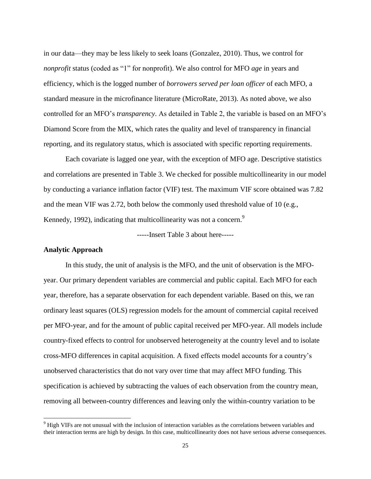in our data—they may be less likely to seek loans (Gonzalez, 2010). Thus, we control for *nonprofit* status (coded as "1" for nonprofit). We also control for MFO *age* in years and efficiency, which is the logged number of *borrowers served per loan officer* of each MFO, a standard measure in the microfinance literature (MicroRate, 2013). As noted above, we also controlled for an MFO's *transparency*. As detailed in Table 2, the variable is based on an MFO's Diamond Score from the MIX, which rates the quality and level of transparency in financial reporting, and its regulatory status, which is associated with specific reporting requirements.

Each covariate is lagged one year, with the exception of MFO age. Descriptive statistics and correlations are presented in Table 3. We checked for possible multicollinearity in our model by conducting a variance inflation factor (VIF) test. The maximum VIF score obtained was 7.82 and the mean VIF was 2.72, both below the commonly used threshold value of 10 (e.g., Kennedy, 1992), indicating that multicollinearity was not a concern.<sup>9</sup>

-----Insert Table 3 about here-----

# **Analytic Approach**

 $\overline{\phantom{a}}$ 

In this study, the unit of analysis is the MFO, and the unit of observation is the MFOyear. Our primary dependent variables are commercial and public capital. Each MFO for each year, therefore, has a separate observation for each dependent variable. Based on this, we ran ordinary least squares (OLS) regression models for the amount of commercial capital received per MFO-year, and for the amount of public capital received per MFO-year. All models include country-fixed effects to control for unobserved heterogeneity at the country level and to isolate cross-MFO differences in capital acquisition. A fixed effects model accounts for a country's unobserved characteristics that do not vary over time that may affect MFO funding. This specification is achieved by subtracting the values of each observation from the country mean, removing all between-country differences and leaving only the within-country variation to be

<sup>9</sup> High VIFs are not unusual with the inclusion of interaction variables as the correlations between variables and their interaction terms are high by design. In this case, multicollinearity does not have serious adverse consequences.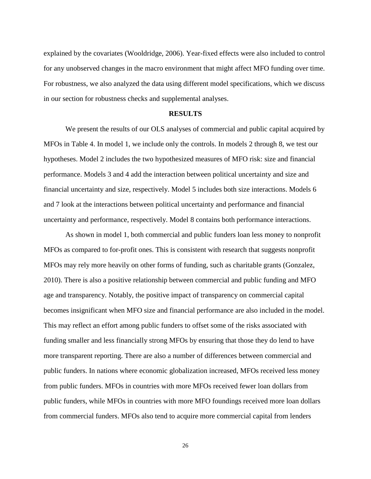explained by the covariates (Wooldridge, 2006). Year-fixed effects were also included to control for any unobserved changes in the macro environment that might affect MFO funding over time. For robustness, we also analyzed the data using different model specifications, which we discuss in our section for robustness checks and supplemental analyses.

#### **RESULTS**

We present the results of our OLS analyses of commercial and public capital acquired by MFOs in Table 4. In model 1, we include only the controls. In models 2 through 8, we test our hypotheses. Model 2 includes the two hypothesized measures of MFO risk: size and financial performance. Models 3 and 4 add the interaction between political uncertainty and size and financial uncertainty and size, respectively. Model 5 includes both size interactions. Models 6 and 7 look at the interactions between political uncertainty and performance and financial uncertainty and performance, respectively. Model 8 contains both performance interactions.

As shown in model 1, both commercial and public funders loan less money to nonprofit MFOs as compared to for-profit ones. This is consistent with research that suggests nonprofit MFOs may rely more heavily on other forms of funding, such as charitable grants (Gonzalez, 2010). There is also a positive relationship between commercial and public funding and MFO age and transparency. Notably, the positive impact of transparency on commercial capital becomes insignificant when MFO size and financial performance are also included in the model. This may reflect an effort among public funders to offset some of the risks associated with funding smaller and less financially strong MFOs by ensuring that those they do lend to have more transparent reporting. There are also a number of differences between commercial and public funders. In nations where economic globalization increased, MFOs received less money from public funders. MFOs in countries with more MFOs received fewer loan dollars from public funders, while MFOs in countries with more MFO foundings received more loan dollars from commercial funders. MFOs also tend to acquire more commercial capital from lenders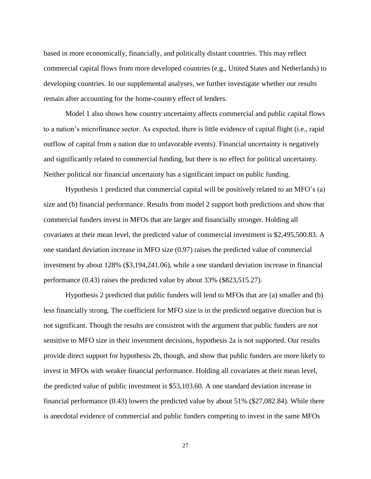based in more economically, financially, and politically distant countries. This may reflect commercial capital flows from more developed countries (e.g., United States and Netherlands) to developing countries. In our supplemental analyses, we further investigate whether our results remain after accounting for the home-country effect of lenders.

Model 1 also shows how country uncertainty affects commercial and public capital flows to a nation's microfinance sector. As expected, there is little evidence of capital flight (i.e., rapid outflow of capital from a nation due to unfavorable events). Financial uncertainty is negatively and significantly related to commercial funding, but there is no effect for political uncertainty. Neither political nor financial uncertainty has a significant impact on public funding.

Hypothesis 1 predicted that commercial capital will be positively related to an MFO's (a) size and (b) financial performance. Results from model 2 support both predictions and show that commercial funders invest in MFOs that are larger and financially stronger. Holding all covariates at their mean level, the predicted value of commercial investment is \$2,495,500.83. A one standard deviation increase in MFO size (0.97) raises the predicted value of commercial investment by about 128% (\$3,194,241.06), while a one standard deviation increase in financial performance (0.43) raises the predicted value by about 33% (\$823,515.27).

Hypothesis 2 predicted that public funders will lend to MFOs that are (a) smaller and (b) less financially strong. The coefficient for MFO size is in the predicted negative direction but is not significant. Though the results are consistent with the argument that public funders are not sensitive to MFO size in their investment decisions, hypothesis 2a is not supported. Our results provide direct support for hypothesis 2b, though, and show that public funders are more likely to invest in MFOs with weaker financial performance. Holding all covariates at their mean level, the predicted value of public investment is \$53,103.60. A one standard deviation increase in financial performance (0.43) lowers the predicted value by about 51% (\$27,082.84). While there is anecdotal evidence of commercial and public funders competing to invest in the same MFOs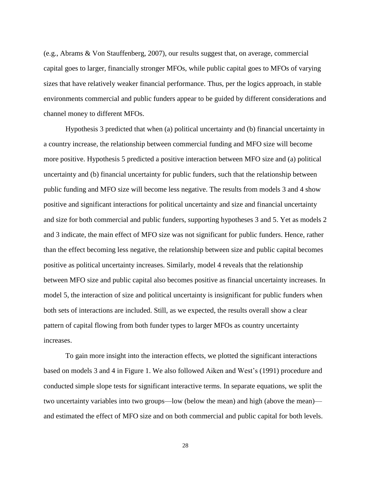(e.g., Abrams & Von Stauffenberg, 2007), our results suggest that, on average, commercial capital goes to larger, financially stronger MFOs, while public capital goes to MFOs of varying sizes that have relatively weaker financial performance. Thus, per the logics approach, in stable environments commercial and public funders appear to be guided by different considerations and channel money to different MFOs.

Hypothesis 3 predicted that when (a) political uncertainty and (b) financial uncertainty in a country increase, the relationship between commercial funding and MFO size will become more positive. Hypothesis 5 predicted a positive interaction between MFO size and (a) political uncertainty and (b) financial uncertainty for public funders, such that the relationship between public funding and MFO size will become less negative. The results from models 3 and 4 show positive and significant interactions for political uncertainty and size and financial uncertainty and size for both commercial and public funders, supporting hypotheses 3 and 5. Yet as models 2 and 3 indicate, the main effect of MFO size was not significant for public funders. Hence, rather than the effect becoming less negative, the relationship between size and public capital becomes positive as political uncertainty increases. Similarly, model 4 reveals that the relationship between MFO size and public capital also becomes positive as financial uncertainty increases. In model 5, the interaction of size and political uncertainty is insignificant for public funders when both sets of interactions are included. Still, as we expected, the results overall show a clear pattern of capital flowing from both funder types to larger MFOs as country uncertainty increases.

To gain more insight into the interaction effects, we plotted the significant interactions based on models 3 and 4 in Figure 1. We also followed Aiken and West's (1991) procedure and conducted simple slope tests for significant interactive terms. In separate equations, we split the two uncertainty variables into two groups—low (below the mean) and high (above the mean) and estimated the effect of MFO size and on both commercial and public capital for both levels.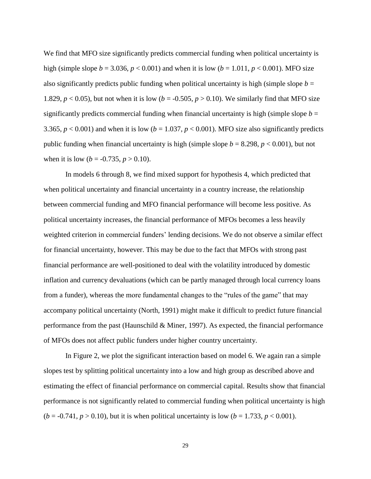We find that MFO size significantly predicts commercial funding when political uncertainty is high (simple slope  $b = 3.036$ ,  $p < 0.001$ ) and when it is low ( $b = 1.011$ ,  $p < 0.001$ ). MFO size also significantly predicts public funding when political uncertainty is high (simple slope  $b =$ 1.829,  $p < 0.05$ ), but not when it is low ( $b = -0.505$ ,  $p > 0.10$ ). We similarly find that MFO size significantly predicts commercial funding when financial uncertainty is high (simple slope  $b =$ 3.365,  $p < 0.001$ ) and when it is low ( $b = 1.037$ ,  $p < 0.001$ ). MFO size also significantly predicts public funding when financial uncertainty is high (simple slope  $b = 8.298$ ,  $p < 0.001$ ), but not when it is low ( $b = -0.735$ ,  $p > 0.10$ ).

In models 6 through 8, we find mixed support for hypothesis 4, which predicted that when political uncertainty and financial uncertainty in a country increase, the relationship between commercial funding and MFO financial performance will become less positive. As political uncertainty increases, the financial performance of MFOs becomes a less heavily weighted criterion in commercial funders' lending decisions. We do not observe a similar effect for financial uncertainty, however. This may be due to the fact that MFOs with strong past financial performance are well-positioned to deal with the volatility introduced by domestic inflation and currency devaluations (which can be partly managed through local currency loans from a funder), whereas the more fundamental changes to the "rules of the game" that may accompany political uncertainty (North, 1991) might make it difficult to predict future financial performance from the past (Haunschild & Miner, 1997). As expected, the financial performance of MFOs does not affect public funders under higher country uncertainty.

In Figure 2, we plot the significant interaction based on model 6. We again ran a simple slopes test by splitting political uncertainty into a low and high group as described above and estimating the effect of financial performance on commercial capital. Results show that financial performance is not significantly related to commercial funding when political uncertainty is high  $(b = -0.741, p > 0.10)$ , but it is when political uncertainty is low  $(b = 1.733, p < 0.001)$ .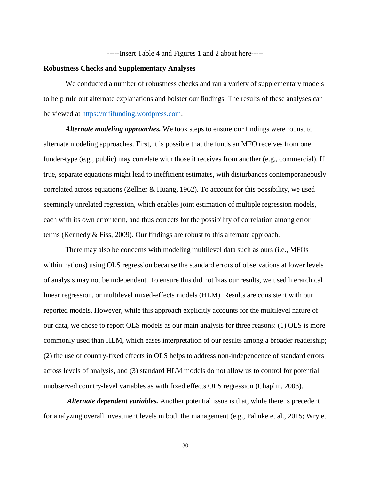-----Insert Table 4 and Figures 1 and 2 about here-----

#### **Robustness Checks and Supplementary Analyses**

We conducted a number of robustness checks and ran a variety of supplementary models to help rule out alternate explanations and bolster our findings. The results of these analyses can be viewed at [https://mfifunding.wordpress.com.](https://mfifunding.wordpress.com/)

*Alternate modeling approaches.* We took steps to ensure our findings were robust to alternate modeling approaches. First, it is possible that the funds an MFO receives from one funder-type (e.g., public) may correlate with those it receives from another (e.g., commercial). If true, separate equations might lead to inefficient estimates, with disturbances contemporaneously correlated across equations (Zellner & Huang, 1962). To account for this possibility, we used seemingly unrelated regression, which enables joint estimation of multiple regression models, each with its own error term, and thus corrects for the possibility of correlation among error terms (Kennedy & Fiss, 2009). Our findings are robust to this alternate approach.

There may also be concerns with modeling multilevel data such as ours (i.e., MFOs within nations) using OLS regression because the standard errors of observations at lower levels of analysis may not be independent. To ensure this did not bias our results, we used hierarchical linear regression, or multilevel mixed-effects models (HLM). Results are consistent with our reported models. However, while this approach explicitly accounts for the multilevel nature of our data, we chose to report OLS models as our main analysis for three reasons: (1) OLS is more commonly used than HLM, which eases interpretation of our results among a broader readership; (2) the use of country-fixed effects in OLS helps to address non-independence of standard errors across levels of analysis, and (3) standard HLM models do not allow us to control for potential unobserved country-level variables as with fixed effects OLS regression (Chaplin, 2003).

*Alternate dependent variables.* Another potential issue is that, while there is precedent for analyzing overall investment levels in both the management (e.g., Pahnke et al., 2015; Wry et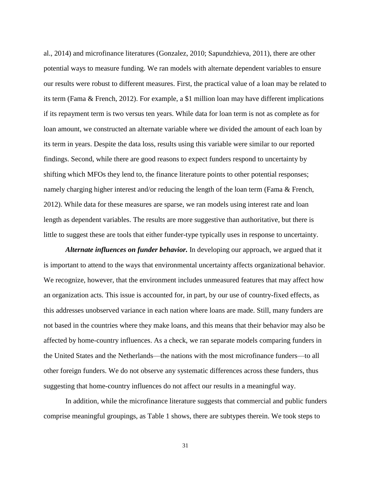al., 2014) and microfinance literatures (Gonzalez, 2010; Sapundzhieva, 2011), there are other potential ways to measure funding. We ran models with alternate dependent variables to ensure our results were robust to different measures. First, the practical value of a loan may be related to its term (Fama & French, 2012). For example, a \$1 million loan may have different implications if its repayment term is two versus ten years. While data for loan term is not as complete as for loan amount, we constructed an alternate variable where we divided the amount of each loan by its term in years. Despite the data loss, results using this variable were similar to our reported findings. Second, while there are good reasons to expect funders respond to uncertainty by shifting which MFOs they lend to, the finance literature points to other potential responses; namely charging higher interest and/or reducing the length of the loan term (Fama & French, 2012). While data for these measures are sparse, we ran models using interest rate and loan length as dependent variables. The results are more suggestive than authoritative, but there is little to suggest these are tools that either funder-type typically uses in response to uncertainty.

*Alternate influences on funder behavior.* In developing our approach, we argued that it is important to attend to the ways that environmental uncertainty affects organizational behavior. We recognize, however, that the environment includes unmeasured features that may affect how an organization acts. This issue is accounted for, in part, by our use of country-fixed effects, as this addresses unobserved variance in each nation where loans are made. Still, many funders are not based in the countries where they make loans, and this means that their behavior may also be affected by home-country influences. As a check, we ran separate models comparing funders in the United States and the Netherlands—the nations with the most microfinance funders—to all other foreign funders. We do not observe any systematic differences across these funders, thus suggesting that home-country influences do not affect our results in a meaningful way.

In addition, while the microfinance literature suggests that commercial and public funders comprise meaningful groupings, as Table 1 shows, there are subtypes therein. We took steps to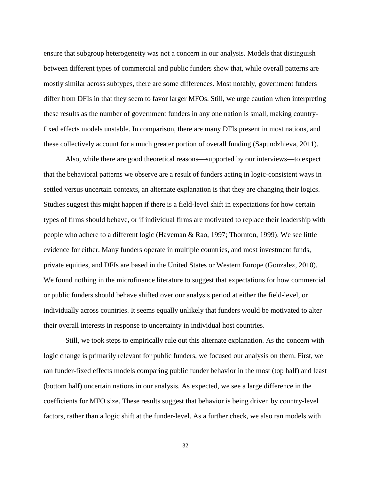ensure that subgroup heterogeneity was not a concern in our analysis. Models that distinguish between different types of commercial and public funders show that, while overall patterns are mostly similar across subtypes, there are some differences. Most notably, government funders differ from DFIs in that they seem to favor larger MFOs. Still, we urge caution when interpreting these results as the number of government funders in any one nation is small, making countryfixed effects models unstable. In comparison, there are many DFIs present in most nations, and these collectively account for a much greater portion of overall funding (Sapundzhieva, 2011).

Also, while there are good theoretical reasons—supported by our interviews—to expect that the behavioral patterns we observe are a result of funders acting in logic-consistent ways in settled versus uncertain contexts, an alternate explanation is that they are changing their logics. Studies suggest this might happen if there is a field-level shift in expectations for how certain types of firms should behave, or if individual firms are motivated to replace their leadership with people who adhere to a different logic (Haveman & Rao, 1997; Thornton, 1999). We see little evidence for either. Many funders operate in multiple countries, and most investment funds, private equities, and DFIs are based in the United States or Western Europe (Gonzalez, 2010). We found nothing in the microfinance literature to suggest that expectations for how commercial or public funders should behave shifted over our analysis period at either the field-level, or individually across countries. It seems equally unlikely that funders would be motivated to alter their overall interests in response to uncertainty in individual host countries.

Still, we took steps to empirically rule out this alternate explanation. As the concern with logic change is primarily relevant for public funders, we focused our analysis on them. First, we ran funder-fixed effects models comparing public funder behavior in the most (top half) and least (bottom half) uncertain nations in our analysis. As expected, we see a large difference in the coefficients for MFO size. These results suggest that behavior is being driven by country-level factors, rather than a logic shift at the funder-level. As a further check, we also ran models with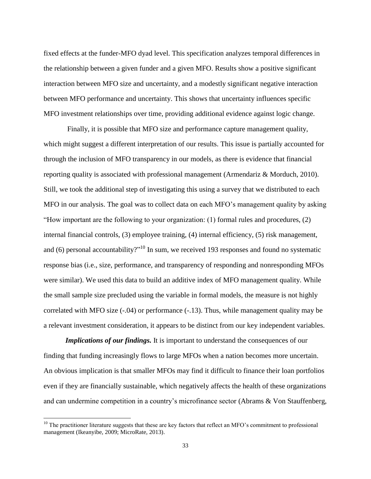fixed effects at the funder-MFO dyad level. This specification analyzes temporal differences in the relationship between a given funder and a given MFO. Results show a positive significant interaction between MFO size and uncertainty, and a modestly significant negative interaction between MFO performance and uncertainty. This shows that uncertainty influences specific MFO investment relationships over time, providing additional evidence against logic change.

Finally, it is possible that MFO size and performance capture management quality, which might suggest a different interpretation of our results. This issue is partially accounted for through the inclusion of MFO transparency in our models, as there is evidence that financial reporting quality is associated with professional management (Armendariz & Morduch, 2010). Still, we took the additional step of investigating this using a survey that we distributed to each MFO in our analysis. The goal was to collect data on each MFO's management quality by asking "How important are the following to your organization: (1) formal rules and procedures, (2) internal financial controls, (3) employee training, (4) internal efficiency, (5) risk management, and (6) personal accountability?"<sup>10</sup> In sum, we received 193 responses and found no systematic response bias (i.e., size, performance, and transparency of responding and nonresponding MFOs were similar). We used this data to build an additive index of MFO management quality. While the small sample size precluded using the variable in formal models, the measure is not highly correlated with MFO size (-.04) or performance (-.13). Thus, while management quality may be a relevant investment consideration, it appears to be distinct from our key independent variables.

*Implications of our findings.* It is important to understand the consequences of our finding that funding increasingly flows to large MFOs when a nation becomes more uncertain. An obvious implication is that smaller MFOs may find it difficult to finance their loan portfolios even if they are financially sustainable, which negatively affects the health of these organizations and can undermine competition in a country's microfinance sector (Abrams & Von Stauffenberg,

 $\overline{\phantom{a}}$ 

 $10$  The practitioner literature suggests that these are key factors that reflect an MFO's commitment to professional management (Ikeanyibe, 2009; MicroRate, 2013).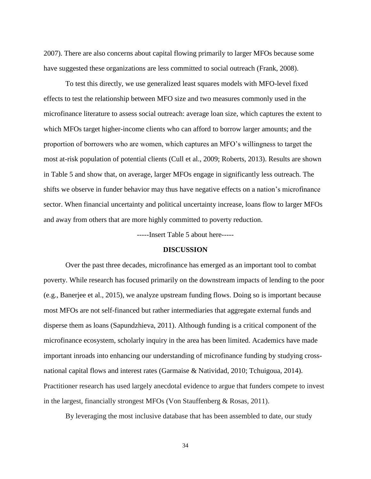2007). There are also concerns about capital flowing primarily to larger MFOs because some have suggested these organizations are less committed to social outreach (Frank, 2008).

To test this directly, we use generalized least squares models with MFO-level fixed effects to test the relationship between MFO size and two measures commonly used in the microfinance literature to assess social outreach: average loan size, which captures the extent to which MFOs target higher-income clients who can afford to borrow larger amounts; and the proportion of borrowers who are women, which captures an MFO's willingness to target the most at-risk population of potential clients (Cull et al., 2009; Roberts, 2013). Results are shown in Table 5 and show that, on average, larger MFOs engage in significantly less outreach. The shifts we observe in funder behavior may thus have negative effects on a nation's microfinance sector. When financial uncertainty and political uncertainty increase, loans flow to larger MFOs and away from others that are more highly committed to poverty reduction.

-----Insert Table 5 about here-----

# **DISCUSSION**

Over the past three decades, microfinance has emerged as an important tool to combat poverty. While research has focused primarily on the downstream impacts of lending to the poor (e.g., Banerjee et al., 2015), we analyze upstream funding flows. Doing so is important because most MFOs are not self-financed but rather intermediaries that aggregate external funds and disperse them as loans (Sapundzhieva, 2011). Although funding is a critical component of the microfinance ecosystem, scholarly inquiry in the area has been limited. Academics have made important inroads into enhancing our understanding of microfinance funding by studying crossnational capital flows and interest rates (Garmaise & Natividad, 2010; Tchuigoua, 2014). Practitioner research has used largely anecdotal evidence to argue that funders compete to invest in the largest, financially strongest MFOs (Von Stauffenberg & Rosas, 2011).

By leveraging the most inclusive database that has been assembled to date, our study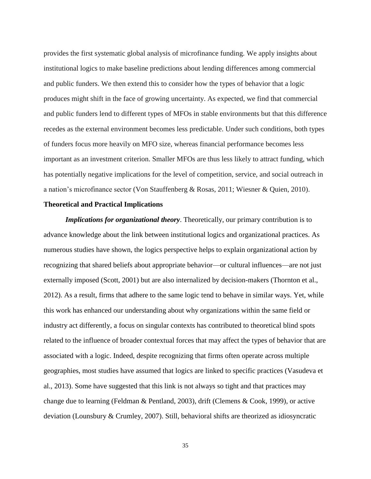provides the first systematic global analysis of microfinance funding. We apply insights about institutional logics to make baseline predictions about lending differences among commercial and public funders. We then extend this to consider how the types of behavior that a logic produces might shift in the face of growing uncertainty. As expected, we find that commercial and public funders lend to different types of MFOs in stable environments but that this difference recedes as the external environment becomes less predictable. Under such conditions, both types of funders focus more heavily on MFO size, whereas financial performance becomes less important as an investment criterion. Smaller MFOs are thus less likely to attract funding, which has potentially negative implications for the level of competition, service, and social outreach in a nation's microfinance sector (Von Stauffenberg & Rosas, 2011; Wiesner & Quien, 2010).

#### **Theoretical and Practical Implications**

*Implications for organizational theory*. Theoretically, our primary contribution is to advance knowledge about the link between institutional logics and organizational practices. As numerous studies have shown, the logics perspective helps to explain organizational action by recognizing that shared beliefs about appropriate behavior—or cultural influences—are not just externally imposed (Scott, 2001) but are also internalized by decision-makers (Thornton et al., 2012). As a result, firms that adhere to the same logic tend to behave in similar ways. Yet, while this work has enhanced our understanding about why organizations within the same field or industry act differently, a focus on singular contexts has contributed to theoretical blind spots related to the influence of broader contextual forces that may affect the types of behavior that are associated with a logic. Indeed, despite recognizing that firms often operate across multiple geographies, most studies have assumed that logics are linked to specific practices (Vasudeva et al., 2013). Some have suggested that this link is not always so tight and that practices may change due to learning (Feldman & Pentland, 2003), drift (Clemens & Cook, 1999), or active deviation (Lounsbury & Crumley, 2007). Still, behavioral shifts are theorized as idiosyncratic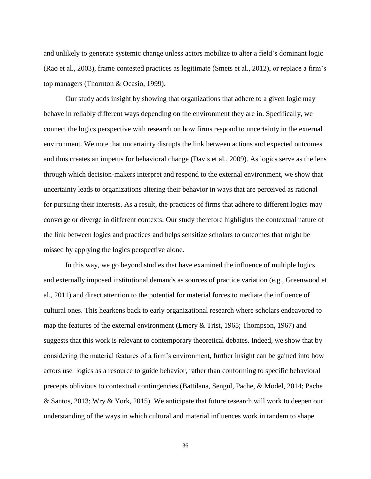and unlikely to generate systemic change unless actors mobilize to alter a field's dominant logic (Rao et al., 2003), frame contested practices as legitimate (Smets et al., 2012), or replace a firm's top managers (Thornton & Ocasio, 1999).

Our study adds insight by showing that organizations that adhere to a given logic may behave in reliably different ways depending on the environment they are in. Specifically, we connect the logics perspective with research on how firms respond to uncertainty in the external environment. We note that uncertainty disrupts the link between actions and expected outcomes and thus creates an impetus for behavioral change (Davis et al., 2009). As logics serve as the lens through which decision-makers interpret and respond to the external environment, we show that uncertainty leads to organizations altering their behavior in ways that are perceived as rational for pursuing their interests. As a result, the practices of firms that adhere to different logics may converge or diverge in different contexts. Our study therefore highlights the contextual nature of the link between logics and practices and helps sensitize scholars to outcomes that might be missed by applying the logics perspective alone.

In this way, we go beyond studies that have examined the influence of multiple logics and externally imposed institutional demands as sources of practice variation (e.g., Greenwood et al., 2011) and direct attention to the potential for material forces to mediate the influence of cultural ones. This hearkens back to early organizational research where scholars endeavored to map the features of the external environment (Emery & Trist, 1965; Thompson, 1967) and suggests that this work is relevant to contemporary theoretical debates. Indeed, we show that by considering the material features of a firm's environment, further insight can be gained into how actors use logics as a resource to guide behavior, rather than conforming to specific behavioral precepts oblivious to contextual contingencies (Battilana, Sengul, Pache, & Model, 2014; Pache & Santos, 2013; Wry & York, 2015). We anticipate that future research will work to deepen our understanding of the ways in which cultural and material influences work in tandem to shape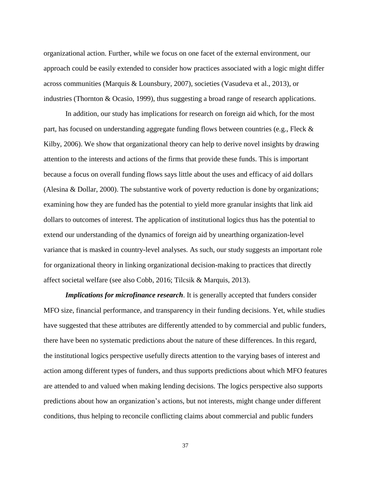organizational action. Further, while we focus on one facet of the external environment, our approach could be easily extended to consider how practices associated with a logic might differ across communities (Marquis & Lounsbury, 2007), societies (Vasudeva et al., 2013), or industries (Thornton & Ocasio, 1999), thus suggesting a broad range of research applications.

In addition, our study has implications for research on foreign aid which, for the most part, has focused on understanding aggregate funding flows between countries (e.g., Fleck & Kilby, 2006). We show that organizational theory can help to derive novel insights by drawing attention to the interests and actions of the firms that provide these funds. This is important because a focus on overall funding flows says little about the uses and efficacy of aid dollars (Alesina & Dollar, 2000). The substantive work of poverty reduction is done by organizations; examining how they are funded has the potential to yield more granular insights that link aid dollars to outcomes of interest. The application of institutional logics thus has the potential to extend our understanding of the dynamics of foreign aid by unearthing organization-level variance that is masked in country-level analyses. As such, our study suggests an important role for organizational theory in linking organizational decision-making to practices that directly affect societal welfare (see also Cobb, 2016; Tilcsik & Marquis, 2013).

*Implications for microfinance research*. It is generally accepted that funders consider MFO size, financial performance, and transparency in their funding decisions. Yet, while studies have suggested that these attributes are differently attended to by commercial and public funders, there have been no systematic predictions about the nature of these differences. In this regard, the institutional logics perspective usefully directs attention to the varying bases of interest and action among different types of funders, and thus supports predictions about which MFO features are attended to and valued when making lending decisions. The logics perspective also supports predictions about how an organization's actions, but not interests, might change under different conditions, thus helping to reconcile conflicting claims about commercial and public funders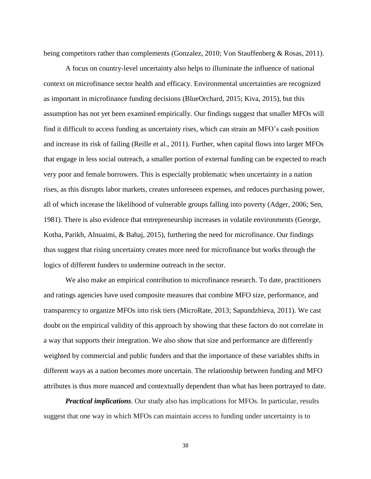being competitors rather than complements (Gonzalez, 2010; Von Stauffenberg & Rosas, 2011).

A focus on country-level uncertainty also helps to illuminate the influence of national context on microfinance sector health and efficacy. Environmental uncertainties are recognized as important in microfinance funding decisions (BlueOrchard, 2015; Kiva, 2015), but this assumption has not yet been examined empirically. Our findings suggest that smaller MFOs will find it difficult to access funding as uncertainty rises, which can strain an MFO's cash position and increase its risk of failing (Reille et al., 2011). Further, when capital flows into larger MFOs that engage in less social outreach, a smaller portion of external funding can be expected to reach very poor and female borrowers. This is especially problematic when uncertainty in a nation rises, as this disrupts labor markets, creates unforeseen expenses, and reduces purchasing power, all of which increase the likelihood of vulnerable groups falling into poverty (Adger, 2006; Sen, 1981). There is also evidence that entrepreneurship increases in volatile environments (George, Kotha, Parikh, Alnuaimi, & Bahaj, 2015), furthering the need for microfinance. Our findings thus suggest that rising uncertainty creates more need for microfinance but works through the logics of different funders to undermine outreach in the sector.

We also make an empirical contribution to microfinance research. To date, practitioners and ratings agencies have used composite measures that combine MFO size, performance, and transparency to organize MFOs into risk tiers (MicroRate, 2013; Sapundzhieva, 2011). We cast doubt on the empirical validity of this approach by showing that these factors do not correlate in a way that supports their integration. We also show that size and performance are differently weighted by commercial and public funders and that the importance of these variables shifts in different ways as a nation becomes more uncertain. The relationship between funding and MFO attributes is thus more nuanced and contextually dependent than what has been portrayed to date.

*Practical implications*. Our study also has implications for MFOs. In particular, results suggest that one way in which MFOs can maintain access to funding under uncertainty is to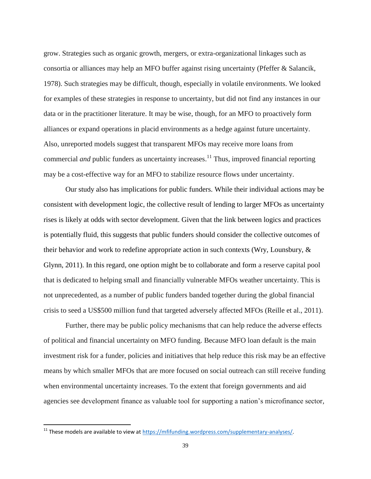grow. Strategies such as organic growth, mergers, or extra-organizational linkages such as consortia or alliances may help an MFO buffer against rising uncertainty (Pfeffer & Salancik, 1978). Such strategies may be difficult, though, especially in volatile environments. We looked for examples of these strategies in response to uncertainty, but did not find any instances in our data or in the practitioner literature. It may be wise, though, for an MFO to proactively form alliances or expand operations in placid environments as a hedge against future uncertainty. Also, unreported models suggest that transparent MFOs may receive more loans from commercial *and* public funders as uncertainty increases. <sup>11</sup> Thus, improved financial reporting may be a cost-effective way for an MFO to stabilize resource flows under uncertainty.

Our study also has implications for public funders. While their individual actions may be consistent with development logic, the collective result of lending to larger MFOs as uncertainty rises is likely at odds with sector development. Given that the link between logics and practices is potentially fluid, this suggests that public funders should consider the collective outcomes of their behavior and work to redefine appropriate action in such contexts (Wry, Lounsbury, & Glynn, 2011). In this regard, one option might be to collaborate and form a reserve capital pool that is dedicated to helping small and financially vulnerable MFOs weather uncertainty. This is not unprecedented, as a number of public funders banded together during the global financial crisis to seed a US\$500 million fund that targeted adversely affected MFOs (Reille et al., 2011).

Further, there may be public policy mechanisms that can help reduce the adverse effects of political and financial uncertainty on MFO funding. Because MFO loan default is the main investment risk for a funder, policies and initiatives that help reduce this risk may be an effective means by which smaller MFOs that are more focused on social outreach can still receive funding when environmental uncertainty increases. To the extent that foreign governments and aid agencies see development finance as valuable tool for supporting a nation's microfinance sector,

 $\overline{\phantom{a}}$ 

<sup>&</sup>lt;sup>11</sup> These models are available to view at [https://mfifunding.wordpress.com/supplementary-analyses/.](https://mfifunding.wordpress.com/supplementary-analyses/)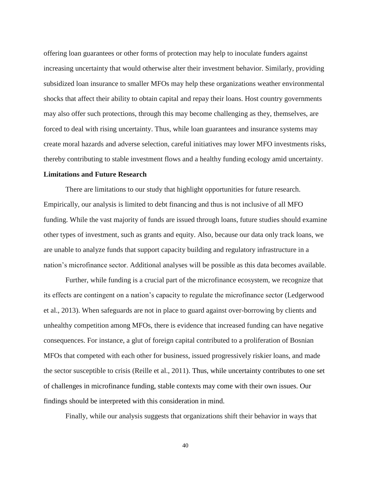offering loan guarantees or other forms of protection may help to inoculate funders against increasing uncertainty that would otherwise alter their investment behavior. Similarly, providing subsidized loan insurance to smaller MFOs may help these organizations weather environmental shocks that affect their ability to obtain capital and repay their loans. Host country governments may also offer such protections, through this may become challenging as they, themselves, are forced to deal with rising uncertainty. Thus, while loan guarantees and insurance systems may create moral hazards and adverse selection, careful initiatives may lower MFO investments risks, thereby contributing to stable investment flows and a healthy funding ecology amid uncertainty.

#### **Limitations and Future Research**

There are limitations to our study that highlight opportunities for future research. Empirically, our analysis is limited to debt financing and thus is not inclusive of all MFO funding. While the vast majority of funds are issued through loans, future studies should examine other types of investment, such as grants and equity. Also, because our data only track loans, we are unable to analyze funds that support capacity building and regulatory infrastructure in a nation's microfinance sector. Additional analyses will be possible as this data becomes available.

Further, while funding is a crucial part of the microfinance ecosystem, we recognize that its effects are contingent on a nation's capacity to regulate the microfinance sector (Ledgerwood et al., 2013). When safeguards are not in place to guard against over-borrowing by clients and unhealthy competition among MFOs, there is evidence that increased funding can have negative consequences. For instance, a glut of foreign capital contributed to a proliferation of Bosnian MFOs that competed with each other for business, issued progressively riskier loans, and made the sector susceptible to crisis (Reille et al., 2011). Thus, while uncertainty contributes to one set of challenges in microfinance funding, stable contexts may come with their own issues. Our findings should be interpreted with this consideration in mind.

Finally, while our analysis suggests that organizations shift their behavior in ways that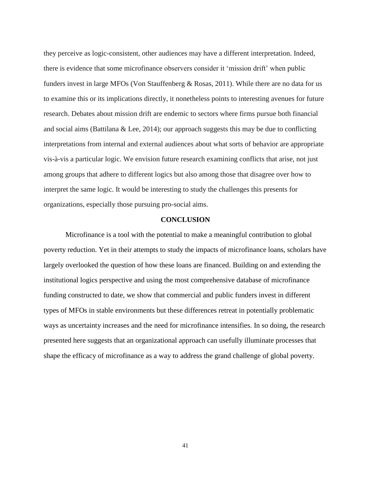they perceive as logic-consistent, other audiences may have a different interpretation. Indeed, there is evidence that some microfinance observers consider it 'mission drift' when public funders invest in large MFOs (Von Stauffenberg & Rosas, 2011). While there are no data for us to examine this or its implications directly, it nonetheless points to interesting avenues for future research. Debates about mission drift are endemic to sectors where firms pursue both financial and social aims (Battilana  $\&$  Lee, 2014); our approach suggests this may be due to conflicting interpretations from internal and external audiences about what sorts of behavior are appropriate vis-à-vis a particular logic. We envision future research examining conflicts that arise, not just among groups that adhere to different logics but also among those that disagree over how to interpret the same logic. It would be interesting to study the challenges this presents for organizations, especially those pursuing pro-social aims.

# **CONCLUSION**

Microfinance is a tool with the potential to make a meaningful contribution to global poverty reduction. Yet in their attempts to study the impacts of microfinance loans, scholars have largely overlooked the question of how these loans are financed. Building on and extending the institutional logics perspective and using the most comprehensive database of microfinance funding constructed to date, we show that commercial and public funders invest in different types of MFOs in stable environments but these differences retreat in potentially problematic ways as uncertainty increases and the need for microfinance intensifies. In so doing, the research presented here suggests that an organizational approach can usefully illuminate processes that shape the efficacy of microfinance as a way to address the grand challenge of global poverty.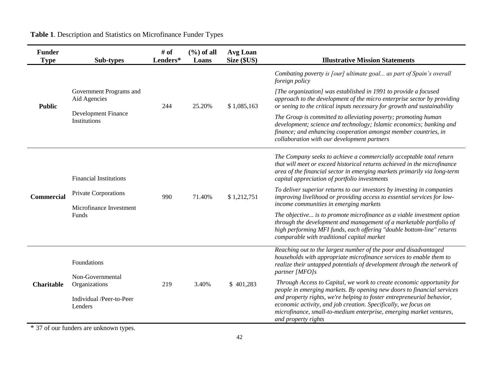| Table 1. Description and Statistics on Microfinance Funder Types |  |  |
|------------------------------------------------------------------|--|--|
|------------------------------------------------------------------|--|--|

| <b>Funder</b><br><b>Type</b> | <b>Sub-types</b>                                                         | # of<br>Lenders* | $(\%)$ of all<br>Loans | <b>Avg Loan</b><br>Size (\$US) | <b>Illustrative Mission Statements</b>                                                                                                                                                                                                                                                                                                                                                    |
|------------------------------|--------------------------------------------------------------------------|------------------|------------------------|--------------------------------|-------------------------------------------------------------------------------------------------------------------------------------------------------------------------------------------------------------------------------------------------------------------------------------------------------------------------------------------------------------------------------------------|
|                              |                                                                          |                  | 25.20%                 | \$1,085,163                    | Combating poverty is [our] ultimate goal as part of Spain's overall<br>foreign policy                                                                                                                                                                                                                                                                                                     |
| <b>Public</b>                | Government Programs and<br>Aid Agencies                                  | 244              |                        |                                | [The organization] was established in 1991 to provide a focused<br>approach to the development of the micro enterprise sector by providing<br>or seeing to the critical inputs necessary for growth and sustainability                                                                                                                                                                    |
|                              | <b>Development Finance</b><br>Institutions                               |                  |                        |                                | The Group is committed to alleviating poverty; promoting human<br>development; science and technology; Islamic economics; banking and<br>finance; and enhancing cooperation amongst member countries, in<br>collaboration with our development partners                                                                                                                                   |
| <b>Commercial</b>            | <b>Financial Institutions</b>                                            | 990              | 71.40%                 |                                | The Company seeks to achieve a commercially acceptable total return<br>that will meet or exceed historical returns achieved in the microfinance<br>area of the financial sector in emerging markets primarily via long-term<br>capital appreciation of portfolio investments                                                                                                              |
|                              | Private Corporations<br>Microfinance Investment                          |                  |                        | \$1,212,751                    | To deliver superior returns to our investors by investing in companies<br>improving livelihood or providing access to essential services for low-<br>income communities in emerging markets                                                                                                                                                                                               |
|                              | Funds                                                                    |                  |                        |                                | The objective is to promote microfinance as a viable investment option<br>through the development and management of a marketable portfolio of<br>high performing MFI funds, each offering "double bottom-line" returns<br>comparable with traditional capital market                                                                                                                      |
|                              | Foundations                                                              |                  |                        |                                | Reaching out to the largest number of the poor and disadvantaged<br>households with appropriate microfinance services to enable them to<br>realize their untapped potentials of development through the network of<br>partner [MFO]s                                                                                                                                                      |
| <b>Charitable</b>            | Non-Governmental<br>Organizations<br>Individual /Peer-to-Peer<br>Lenders | 219              | 3.40%                  | \$401,283                      | Through Access to Capital, we work to create economic opportunity for<br>people in emerging markets. By opening new doors to financial services<br>and property rights, we're helping to foster entrepreneurial behavior,<br>economic activity, and job creation. Specifically, we focus on<br>microfinance, small-to-medium enterprise, emerging market ventures,<br>and property rights |

\* 37 of our funders are unknown types.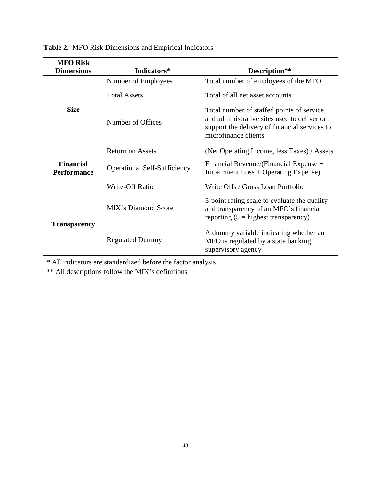| <b>MFO Risk</b><br><b>Dimensions</b>   | Indicators*                         | Description**                                                                                                                                                     |  |  |  |  |
|----------------------------------------|-------------------------------------|-------------------------------------------------------------------------------------------------------------------------------------------------------------------|--|--|--|--|
|                                        | Number of Employees                 | Total number of employees of the MFO                                                                                                                              |  |  |  |  |
|                                        | <b>Total Assets</b>                 | Total of all net asset accounts                                                                                                                                   |  |  |  |  |
| <b>Size</b>                            | Number of Offices                   | Total number of staffed points of service<br>and administrative sites used to deliver or<br>support the delivery of financial services to<br>microfinance clients |  |  |  |  |
|                                        | <b>Return on Assets</b>             | (Net Operating Income, less Taxes) / Assets                                                                                                                       |  |  |  |  |
| <b>Financial</b><br><b>Performance</b> | <b>Operational Self-Sufficiency</b> | Financial Revenue/(Financial Expense +<br>Impairment Loss + Operating Expense)                                                                                    |  |  |  |  |
|                                        | Write-Off Ratio                     | Write Offs / Gross Loan Portfolio                                                                                                                                 |  |  |  |  |
| <b>Transparency</b>                    | MIX's Diamond Score                 | 5-point rating scale to evaluate the quality<br>and transparency of an MFO's financial<br>reporting $(5 =$ highest transparency)                                  |  |  |  |  |
|                                        | <b>Regulated Dummy</b>              | A dummy variable indicating whether an<br>MFO is regulated by a state banking<br>supervisory agency                                                               |  |  |  |  |

**Table 2**. MFO Risk Dimensions and Empirical Indicators

\* All indicators are standardized before the factor analysis

\*\* All descriptions follow the MIX's definitions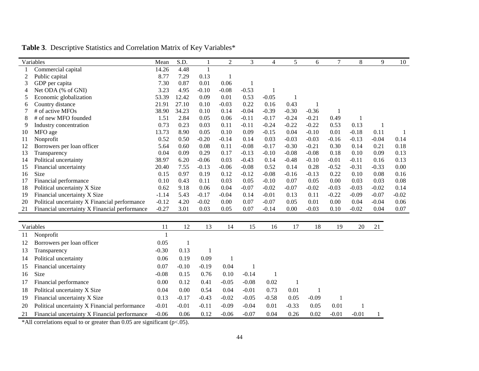| Variables                                                                                                                      | Mean         | S.D.         | $\mathbf{1}$ | $\sqrt{2}$ | 3       | $\overline{\mathcal{L}}$ | 5            | 6            | $\tau$       | 8              | 9            | 10       |
|--------------------------------------------------------------------------------------------------------------------------------|--------------|--------------|--------------|------------|---------|--------------------------|--------------|--------------|--------------|----------------|--------------|----------|
| Commercial capital                                                                                                             | 14.26        | 4.48         | $\mathbf{1}$ |            |         |                          |              |              |              |                |              |          |
| $\overline{2}$<br>Public capital                                                                                               | 8.77         | 7.29         | 0.13         | 1          |         |                          |              |              |              |                |              |          |
| 3<br>GDP per capita                                                                                                            | 7.30         | 0.87         | 0.01         | 0.06       | 1       |                          |              |              |              |                |              |          |
| Net ODA (% of GNI)<br>$\overline{4}$                                                                                           | 3.23         | 4.95         | $-0.10$      | $-0.08$    | $-0.53$ | 1                        |              |              |              |                |              |          |
| Economic globalization<br>5                                                                                                    | 53.39        | 12.42        | 0.09         | 0.01       | 0.53    | $-0.05$                  |              |              |              |                |              |          |
| Country distance<br>6                                                                                                          | 21.91        | 27.10        | 0.10         | $-0.03$    | 0.22    | 0.16                     | 0.43         | 1            |              |                |              |          |
| # of active MFOs<br>7                                                                                                          | 38.90        | 34.23        | 0.10         | 0.14       | $-0.04$ | $-0.39$                  | $-0.30$      | $-0.36$      | $\mathbf{1}$ |                |              |          |
| 8<br># of new MFO founded                                                                                                      | 1.51         | 2.84         | 0.05         | 0.06       | $-0.11$ | $-0.17$                  | $-0.24$      | $-0.21$      | 0.49         | $\mathbf{1}$   |              |          |
| 9<br>Industry concentration                                                                                                    | 0.73         | 0.23         | 0.03         | 0.11       | $-0.11$ | $-0.24$                  | $-0.22$      | $-0.22$      | 0.53         | 0.13           | $\mathbf{1}$ |          |
| MFO age<br>10                                                                                                                  | 13.73        | 8.90         | 0.05         | 0.10       | 0.09    | $-0.15$                  | 0.04         | $-0.10$      | 0.01         | $-0.18$        | 0.11         | -1       |
| 11<br>Nonprofit                                                                                                                | 0.52         | 0.50         | $-0.20$      | $-0.14$    | 0.14    | 0.03                     | $-0.03$      | $-0.03$      | $-0.16$      | $-0.13$        | $-0.04$      | 0.14     |
| 12<br>Borrowers per loan officer                                                                                               | 5.64         | 0.60         | 0.08         | 0.11       | $-0.08$ | $-0.17$                  | $-0.30$      | $-0.21$      | 0.30         | 0.14           | 0.21         | 0.18     |
| 13<br>Transparency                                                                                                             | 0.04         | 0.09         | 0.29         | 0.17       | $-0.13$ | $-0.10$                  | $-0.08$      | $-0.08$      | 0.18         | 0.10           | 0.09         | 0.13     |
| Political uncertainty<br>14                                                                                                    | 38.97        | 6.20         | $-0.06$      | 0.03       | $-0.43$ | 0.14                     | $-0.48$      | $-0.10$      | $-0.01$      | $-0.11$        | 0.16         | 0.13     |
| Financial uncertainty<br>15                                                                                                    | 20.40        | 7.55         | $-0.13$      | $-0.06$    | $-0.08$ | 0.52                     | 0.14         | 0.28         | $-0.52$      | $-0.31$        | $-0.33$      | 0.00     |
| Size<br>16                                                                                                                     | 0.15         | 0.97         | 0.19         | 0.12       | $-0.12$ | $-0.08$                  | $-0.16$      | $-0.13$      | 0.22         | 0.10           | 0.08         | 0.16     |
| Financial performance<br>17                                                                                                    | 0.10         | 0.43         | 0.11         | 0.03       | 0.05    | $-0.10$                  | 0.07         | 0.05         | 0.00         | 0.03           | 0.03         | $0.08\,$ |
| 18<br>Political uncertainty X Size                                                                                             | 0.62         | 9.18         | 0.06         | 0.04       | $-0.07$ | $-0.02$                  | $-0.07$      | $-0.02$      | $-0.03$      | $-0.03$        | $-0.02$      | 0.14     |
| 19<br>Financial uncertainty X Size                                                                                             | $-1.14$      | 5.43         | $-0.17$      | $-0.04$    | 0.14    | $-0.01$                  | 0.13         | 0.11         | $-0.22$      | $-0.09$        | $-0.07$      | $-0.02$  |
| Political uncertainty X Financial performance<br>20                                                                            | $-0.12$      | 4.20         | $-0.02$      | 0.00       | 0.07    | $-0.07$                  | 0.05         | 0.01         | 0.00         | 0.04           | $-0.04$      | 0.06     |
| Financial uncertainty X Financial performance<br>21                                                                            | $-0.27$      | 3.01         | 0.03         | 0.05       | 0.07    | $-0.14$                  | 0.00         | $-0.03$      | 0.10         | $-0.02$        | 0.04         | 0.07     |
|                                                                                                                                |              |              |              |            |         |                          |              |              |              |                |              |          |
| Variables                                                                                                                      | 11           | 12           | 13           | 14         | 15      | 16                       | 17           | 18           | 19           | 20             | 21           |          |
| Nonprofit<br>11                                                                                                                | $\mathbf{1}$ |              |              |            |         |                          |              |              |              |                |              |          |
| Borrowers per loan officer<br>12                                                                                               | 0.05         | $\mathbf{1}$ |              |            |         |                          |              |              |              |                |              |          |
| Transparency<br>13                                                                                                             | $-0.30$      | 0.13         | $\mathbf{1}$ |            |         |                          |              |              |              |                |              |          |
| Political uncertainty<br>14                                                                                                    | 0.06         | 0.19         | 0.09         | 1          |         |                          |              |              |              |                |              |          |
| Financial uncertainty<br>15                                                                                                    | 0.07         | $-0.10$      | $-0.19$      | 0.04       | 1       |                          |              |              |              |                |              |          |
| Size<br>16                                                                                                                     | $-0.08$      | 0.15         | 0.76         | 0.10       | $-0.14$ | 1                        |              |              |              |                |              |          |
| Financial performance<br>17                                                                                                    | 0.00         | 0.12         | 0.41         | $-0.05$    | $-0.08$ | 0.02                     | $\mathbf{1}$ |              |              |                |              |          |
| Political uncertainty X Size<br>18                                                                                             | 0.04         | 0.00         | 0.54         | 0.04       | $-0.01$ | 0.73                     | 0.01         | $\mathbf{1}$ |              |                |              |          |
| Financial uncertainty X Size<br>19                                                                                             | 0.13         | $-0.17$      | $-0.43$      | $-0.02$    | $-0.05$ | $-0.58$                  | 0.05         | $-0.09$      | -1           |                |              |          |
| Political uncertainty X Financial performance<br>20                                                                            | $-0.01$      | $-0.01$      | $-0.11$      | $-0.09$    | $-0.04$ | 0.01                     | $-0.33$      | 0.05         | 0.01         | $\overline{1}$ |              |          |
| Financial uncertainty X Financial performance<br>21<br>$-1.4$ . $-1.1$ . $-1.1$ . $-1.1$ . $-1.1$ . $-1.1$ . $-1.1$ . $0.05$ . | $-0.06$      | 0.06         | 0.12         | $-0.06$    | $-0.07$ | 0.04                     | 0.26         | 0.02         | $-0.01$      | $-0.01$        |              |          |

**Table 3**. Descriptive Statistics and Correlation Matrix of Key Variables\*

\*All correlations equal to or greater than 0.05 are significant (p<.05).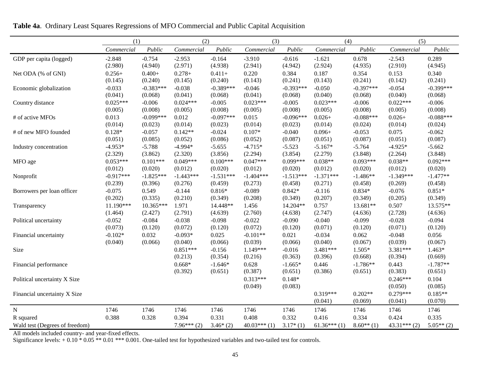|                                | (1)                    |                        | (2)                    |                        | (3)                    |                        | (4)                    |                       | (5)                    |                       |
|--------------------------------|------------------------|------------------------|------------------------|------------------------|------------------------|------------------------|------------------------|-----------------------|------------------------|-----------------------|
|                                | Commercial             | Public                 | Commercial             | Public                 | Commercial             | Public                 | Commercial             | Public                | Commercial             | Public                |
| GDP per capita (logged)        | $-2.848$               | $-0.754$               | $-2.953$               | $-0.164$               | $-3.910$               | $-0.616$               | $-1.621$               | 0.678                 | $-2.543$               | 0.289                 |
|                                | (2.980)                | (4.940)                | (2.971)                | (4.938)                | (2.941)                | (4.942)                | (2.924)                | (4.935)               | (2.910)                | (4.945)               |
| Net ODA (% of GNI)             | $0.256+$               | $0.400+$               | $0.278 +$              | $0.411+$               | 0.220                  | 0.384                  | 0.187                  | 0.354                 | 0.153                  | 0.340                 |
|                                | (0.145)                | (0.240)                | (0.145)                | (0.240)                | (0.143)                | (0.241)                | (0.143)                | (0.241)               | (0.142)                | (0.241)               |
| Economic globalization         | $-0.033$               | $-0.383***$            | $-0.038$               | $-0.389***$            | $-0.046$               | $-0.393***$            | $-0.050$               | $-0.397***$           | $-0.054$               | $-0.399***$           |
|                                | (0.041)                | (0.068)                | (0.041)                | (0.068)                | (0.041)                | (0.068)                | (0.040)                | (0.068)               | (0.040)                | (0.068)               |
| Country distance               | $0.025***$             | $-0.006$               | $0.024***$             | $-0.005$               | $0.023***$             | $-0.005$               | $0.023***$             | $-0.006$              | $0.022***$             | $-0.006$              |
|                                | (0.005)                | (0.008)                | (0.005)                | (0.008)                | (0.005)                | (0.008)                | (0.005)                | (0.008)               | (0.005)                | (0.008)               |
| # of active MFOs               | 0.013                  | $-0.099***$            | 0.012                  | $-0.097***$            | 0.015                  | $-0.096***$            | $0.026+$               | $-0.088***$           | $0.026+$               | $-0.088***$           |
|                                | (0.014)                | (0.023)                | (0.014)                | (0.023)                | (0.014)                | (0.023)                | (0.014)                | (0.024)               | (0.014)                | (0.024)               |
| # of new MFO founded           | $0.128*$               | $-0.057$               | $0.142**$              | $-0.024$               | $0.107*$               | $-0.040$               | $0.096 +$              | $-0.053$              | 0.075                  | $-0.062$              |
|                                | (0.051)                | (0.085)                | (0.052)                | (0.086)                | (0.052)                | (0.087)                | (0.051)                | (0.087)               | (0.051)                | (0.087)               |
| Industry concentration         | $-4.953*$              | $-5.788$               | $-4.994*$              | $-5.655$               | $-4.715*$              | $-5.523$               | $-5.167*$              | $-5.764$              | $-4.925*$              | $-5.662$              |
|                                | (2.329)                | (3.862)                | (2.320)                | (3.856)                | (2.294)                | (3.854)                | (2.279)                | (3.848)               | (2.264)                | (3.848)               |
| MFO age                        | $0.053***$             | $0.101***$             | $0.049***$             | $0.100***$             | $0.047***$             | $0.099***$             | $0.038**$              | $0.093***$            | $0.038**$              | $0.092***$            |
|                                | (0.012)<br>$-0.917***$ | (0.020)<br>$-1.825***$ | (0.012)<br>$-1.443***$ | (0.020)<br>$-1.531***$ | (0.012)<br>$-1.404***$ | (0.020)<br>$-1.513***$ | (0.012)<br>$-1.371***$ | (0.020)<br>$-1.486**$ | (0.012)<br>$-1.349***$ | (0.020)<br>$-1.477**$ |
| Nonprofit                      | (0.239)                | (0.396)                | (0.276)                | (0.459)                | (0.273)                | (0.458)                | (0.271)                | (0.458)               | (0.269)                | (0.458)               |
| Borrowers per loan officer     | $-0.075$               | 0.549                  | $-0.144$               | $0.816*$               | $-0.089$               | $0.842*$               | $-0.116$               | $0.834*$              | $-0.076$               | $0.851*$              |
|                                | (0.202)                | (0.335)                | (0.210)                | (0.349)                | (0.208)                | (0.349)                | (0.207)                | (0.349)               | (0.205)                | (0.349)               |
| Transparency                   | 11.190***              | 10.365***              | 1.971                  | 14.448**               | 1.456                  | 14.204**               | 0.757                  | 13.681**              | 0.507                  | 13.575**              |
|                                | (1.464)                | (2.427)                | (2.791)                | (4.639)                | (2.760)                | (4.638)                | (2.747)                | (4.636)               | (2.728)                | (4.636)               |
| Political uncertainty          | $-0.052$               | $-0.084$               | $-0.038$               | $-0.098$               | $-0.022$               | $-0.090$               | $-0.040$               | $-0.099$              | $-0.028$               | $-0.094$              |
|                                | (0.073)                | (0.120)                | (0.072)                | (0.120)                | (0.072)                | (0.120)                | (0.071)                | (0.120)               | (0.071)                | (0.120)               |
| Financial uncertainty          | $-0.102*$              | 0.032                  | $-0.093*$              | 0.025                  | $-0.101**$             | 0.021                  | $-0.034$               | 0.062                 | $-0.048$               | 0.056                 |
|                                | (0.040)                | (0.066)                | (0.040)                | (0.066)                | (0.039)                | (0.066)                | (0.040)                | (0.067)               | (0.039)                | (0.067)               |
| Size                           |                        |                        | $0.851***$             | $-0.156$               | 1.149***               | $-0.016$               | 3.481***               | $1.505*$              | 3.381***               | $1.463*$              |
|                                |                        |                        | (0.213)                | (0.354)                | (0.216)                | (0.363)                | (0.396)                | (0.668)               | (0.394)                | (0.669)               |
| Financial performance          |                        |                        | $0.668*$               | $-1.646*$              | 0.628                  | $-1.665*$              | 0.446                  | $-1.786**$            | 0.443                  | $-1.787**$            |
|                                |                        |                        | (0.392)                | (0.651)                | (0.387)                | (0.651)                | (0.386)                | (0.651)               | (0.383)                | (0.651)               |
| Political uncertainty X Size   |                        |                        |                        |                        | $0.313***$             | $0.148*$               |                        |                       | $0.246***$             | 0.104                 |
|                                |                        |                        |                        |                        | (0.049)                | (0.083)                |                        |                       | (0.050)                | (0.085)               |
| Financial uncertainty X Size   |                        |                        |                        |                        |                        |                        | $0.319***$             | $0.202**$             | $0.279***$             | $0.185**$             |
|                                |                        |                        |                        |                        |                        |                        | (0.041)                | (0.069)               | (0.041)                | (0.070)               |
| ${\bf N}$                      | 1746                   | 1746                   | 1746                   | 1746                   | 1746                   | 1746                   | 1746                   | 1746                  | 1746                   | 1746                  |
| R squared                      | 0.388                  | 0.328                  | 0.394                  | 0.331                  | 0.408                  | 0.332                  | 0.416                  | 0.334                 | 0.424                  | 0.335                 |
| Wald test (Degrees of freedom) |                        |                        | $7.96***(2)$           | $3.46*(2)$             | $40.03***(1)$          | $3.17*(1)$             | $61.36***(1)$          | $8.60**(1)$           | $43.31***(2)$          | $5.05**$ (2)          |

**Table 4a**. Ordinary Least Squares Regressions of MFO Commercial and Public Capital Acquisition

All models included country- and year-fixed effects.

Significance levels:  $+0.10 * 0.05 ** 0.01 ** 0.001$ . One-tailed test for hypothesized variables and two-tailed test for controls.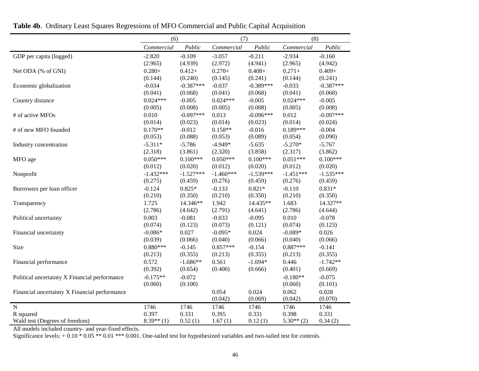|                                               | (6)         |             | (7)         |             | (8)          |             |  |
|-----------------------------------------------|-------------|-------------|-------------|-------------|--------------|-------------|--|
|                                               | Commercial  | Public      | Commercial  | Public      | Commercial   | Public      |  |
| GDP per capita (logged)                       | $-2.820$    | $-0.109$    | $-3.057$    | $-0.211$    | $-2.934$     | $-0.160$    |  |
|                                               | (2.965)     | (4.939)     | (2.972)     | (4.941)     | (2.965)      | (4.942)     |  |
| Net ODA (% of GNI)                            | $0.280 +$   | $0.412+$    | $0.270+$    | $0.408 +$   | $0.271+$     | $0.409 +$   |  |
|                                               | (0.144)     | (0.240)     | (0.145)     | (0.241)     | (0.144)      | (0.241)     |  |
| Economic globalization                        | $-0.034$    | $-0.387***$ | $-0.037$    | $-0.389***$ | $-0.033$     | $-0.387***$ |  |
|                                               | (0.041)     | (0.068)     | (0.041)     | (0.068)     | (0.041)      | (0.068)     |  |
| Country distance                              | $0.024***$  | $-0.005$    | $0.024***$  | $-0.005$    | $0.024***$   | $-0.005$    |  |
|                                               | (0.005)     | (0.008)     | (0.005)     | (0.008)     | (0.005)      | (0.008)     |  |
| # of active MFOs                              | 0.010       | $-0.097***$ | 0.013       | $-0.096***$ | 0.012        | $-0.097***$ |  |
|                                               | (0.014)     | (0.023)     | (0.014)     | (0.023)     | (0.014)      | (0.024)     |  |
| # of new MFO founded                          | $0.170**$   | $-0.012$    | $0.158**$   | $-0.016$    | $0.189***$   | $-0.004$    |  |
|                                               | (0.053)     | (0.088)     | (0.053)     | (0.089)     | (0.054)      | (0.090)     |  |
| Industry concentration                        | $-5.311*$   | $-5.786$    | $-4.949*$   | $-5.635$    | $-5.270*$    | $-5.767$    |  |
|                                               | (2.318)     | (3.861)     | (2.320)     | (3.858)     | (2.317)      | (3.862)     |  |
| MFO age                                       | $0.050***$  | $0.100***$  | $0.050***$  | $0.100***$  | $0.051***$   | $0.100***$  |  |
|                                               | (0.012)     | (0.020)     | (0.012)     | (0.020)     | (0.012)      | (0.020)     |  |
| Nonprofit                                     | $-1.432***$ | $-1.527***$ | $-1.460***$ | $-1.539***$ | $-1.451***$  | $-1.535***$ |  |
|                                               | (0.275)     | (0.459)     | (0.276)     | (0.459)     | (0.276)      | (0.459)     |  |
| Borrowers per loan officer                    | $-0.124$    | $0.825*$    | $-0.133$    | $0.821*$    | $-0.110$     | $0.831*$    |  |
|                                               | (0.210)     | (0.350)     | (0.210)     | (0.350)     | (0.210)      | (0.350)     |  |
| Transparency                                  | 1.725       | 14.346**    | 1.942       | 14.435**    | 1.683        | 14.327**    |  |
|                                               | (2.786)     | (4.642)     | (2.791)     | (4.641)     | (2.786)      | (4.644)     |  |
| Political uncertainty                         | 0.003       | $-0.081$    | $-0.033$    | $-0.095$    | 0.010        | $-0.078$    |  |
|                                               | (0.074)     | (0.123)     | (0.073)     | (0.121)     | (0.074)      | (0.123)     |  |
| Financial uncertainty                         | $-0.086*$   | 0.027       | $-0.095*$   | 0.024       | $-0.089*$    | 0.026       |  |
|                                               | (0.039)     | (0.066)     | (0.040)     | (0.066)     | (0.040)      | (0.066)     |  |
| Size                                          | $0.880***$  | $-0.145$    | $0.857***$  | $-0.154$    | $0.887***$   | $-0.141$    |  |
|                                               | (0.213)     | (0.355)     | (0.213)     | (0.355)     | (0.213)      | (0.355)     |  |
| Financial performance                         | 0.572       | $-1.686**$  | 0.561       | $-1.694*$   | 0.446        | $-1.742**$  |  |
|                                               | (0.392)     | (0.654)     | (0.400)     | (0.666)     | (0.401)      | (0.669)     |  |
| Political uncertainty X Financial performance | $-0.175**$  | $-0.072$    |             |             | $-0.180**$   | $-0.075$    |  |
|                                               | (0.060)     | (0.100)     |             |             | (0.060)      | (0.101)     |  |
| Financial uncertainty X Financial performance |             |             | 0.054       | 0.024       | 0.062        | 0.028       |  |
|                                               |             |             | (0.042)     | (0.069)     | (0.042)      | (0.070)     |  |
| $\mathbf N$                                   | 1746        | 1746        | 1746        | 1746        | 1746         | 1746        |  |
| R squared                                     | 0.397       | 0.331       | 0.395       | 0.331       | 0.398        | 0.331       |  |
| Wald test (Degrees of freedom)                | $8.39**(1)$ | 0.52(1)     | 1.67(1)     | 0.12(1)     | $5.30**$ (2) | 0.34(2)     |  |

**Table 4b**. Ordinary Least Squares Regressions of MFO Commercial and Public Capital Acquisition

All models included country- and year-fixed effects.

Significance levels:  $+0.10 * 0.05 ** 0.01 ** 0.001$ . One-tailed test for hypothesized variables and two-tailed test for controls.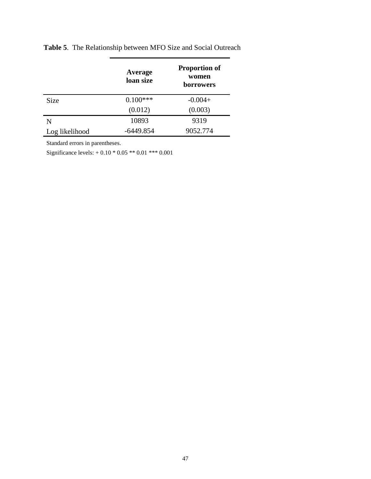|                | Average<br>loan size | <b>Proportion of</b><br>women<br>borrowers |
|----------------|----------------------|--------------------------------------------|
| <b>Size</b>    | $0.100***$           | $-0.004+$                                  |
|                | (0.012)              | (0.003)                                    |
| N              | 10893                | 9319                                       |
| Log likelihood | $-6449.854$          | 9052.774                                   |

**Table 5**. The Relationship between MFO Size and Social Outreach

Standard errors in parentheses.

Significance levels:  $+ 0.10 * 0.05 ** 0.01 *** 0.001$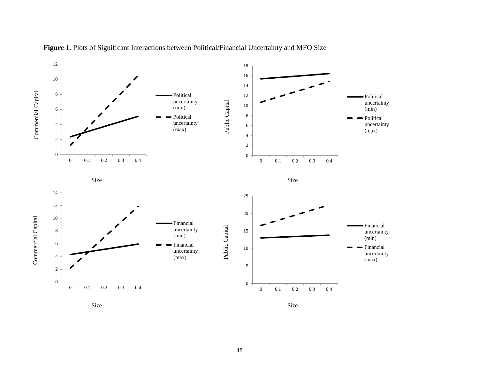

Figure 1. Plots of Significant Interactions between Political/Financial Uncertainty and MFO Size



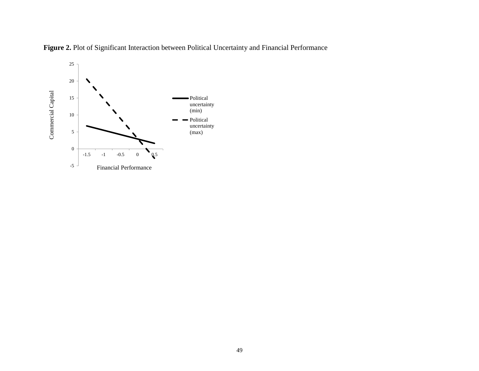

**Figure 2.** Plot of Significant Interaction between Political Uncertainty and Financial Performance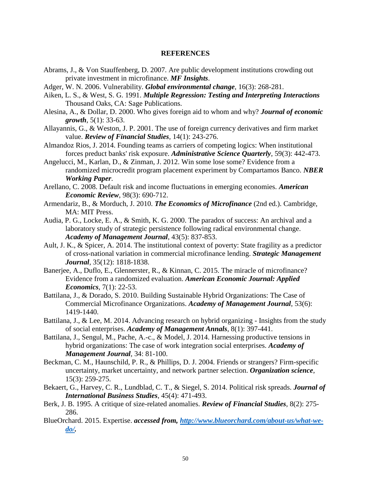# **REFERENCES**

- Abrams, J., & Von Stauffenberg, D. 2007. Are public development institutions crowding out private investment in microfinance. *MF Insights*.
- Adger, W. N. 2006. Vulnerability. *Global environmental change*, 16(3): 268-281.
- Aiken, L. S., & West, S. G. 1991. *Multiple Regression: Testing and Interpreting Interactions*  Thousand Oaks, CA: Sage Publications.
- Alesina, A., & Dollar, D. 2000. Who gives foreign aid to whom and why? *Journal of economic growth*, 5(1): 33-63.
- Allayannis, G., & Weston, J. P. 2001. The use of foreign currency derivatives and firm market value. *Review of Financial Studies*, 14(1): 243-276.
- Almandoz Rios, J. 2014. Founding teams as carriers of competing logics: When institutional forces preduct banks' risk exposure. *Administrative Science Quarterly*, 59(3): 442-473.
- Angelucci, M., Karlan, D., & Zinman, J. 2012. Win some lose some? Evidence from a randomized microcredit program placement experiment by Compartamos Banco. *NBER Working Paper*.
- Arellano, C. 2008. Default risk and income fluctuations in emerging economies. *American Economic Review*, 98(3): 690-712.
- Armendariz, B., & Morduch, J. 2010. *The Economics of Microfinance* (2nd ed.). Cambridge, MA: MIT Press.
- Audia, P. G., Locke, E. A., & Smith, K. G. 2000. The paradox of success: An archival and a laboratory study of strategic persistence following radical environmental change. *Academy of Management Journal*, 43(5): 837-853.
- Ault, J. K., & Spicer, A. 2014. The institutional context of poverty: State fragility as a predictor of cross-national variation in commercial microfinance lending. *Strategic Management Journal*, 35(12): 1818-1838.
- Banerjee, A., Duflo, E., Glennerster, R., & Kinnan, C. 2015. The miracle of microfinance? Evidence from a randomized evaluation. *American Economic Journal: Applied Economics*, 7(1): 22-53.
- Battilana, J., & Dorado, S. 2010. Building Sustainable Hybrid Organizations: The Case of Commercial Microfinance Organizations. *Academy of Management Journal*, 53(6): 1419-1440.
- Battilana, J., & Lee, M. 2014. Advancing research on hybrid organizing Insights from the study of social enterprises. *Academy of Management Annals*, 8(1): 397-441.
- Battilana, J., Sengul, M., Pache, A.-c., & Model, J. 2014. Harnessing productive tensions in hybrid organizations: The case of work integration social enterprises. *Academy of Management Journal*, 34: 81-100.
- Beckman, C. M., Haunschild, P. R., & Phillips, D. J. 2004. Friends or strangers? Firm-specific uncertainty, market uncertainty, and network partner selection. *Organization science*, 15(3): 259-275.
- Bekaert, G., Harvey, C. R., Lundblad, C. T., & Siegel, S. 2014. Political risk spreads. *Journal of International Business Studies*, 45(4): 471-493.
- Berk, J. B. 1995. A critique of size-related anomalies. *Review of Financial Studies*, 8(2): 275- 286.
- BlueOrchard. 2015. Expertise. *accessed from, [http://www.blueorchard.com/about-us/what-we](http://www.blueorchard.com/about-us/what-we-do/)[do/.](http://www.blueorchard.com/about-us/what-we-do/)*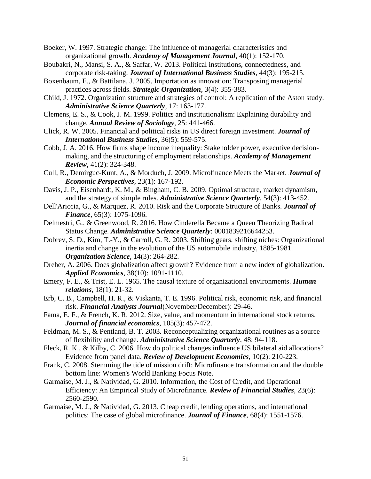Boeker, W. 1997. Strategic change: The influence of managerial characteristics and organizational growth. *Academy of Management Journal*, 40(1): 152-170.

- Boubakri, N., Mansi, S. A., & Saffar, W. 2013. Political institutions, connectedness, and corporate risk-taking. *Journal of International Business Studies*, 44(3): 195-215.
- Boxenbaum, E., & Battilana, J. 2005. Importation as innovation: Transposing managerial practices across fields. *Strategic Organization*, 3(4): 355-383.
- Child, J. 1972. Organization structure and strategies of control: A replication of the Aston study. *Administrative Science Quarterly*, 17: 163-177.
- Clemens, E. S., & Cook, J. M. 1999. Politics and institutionalism: Explaining durability and change. *Annual Review of Sociology*, 25: 441-466.
- Click, R. W. 2005. Financial and political risks in US direct foreign investment. *Journal of International Business Studies*, 36(5): 559-575.
- Cobb, J. A. 2016. How firms shape income inequality: Stakeholder power, executive decisionmaking, and the structuring of employment relationships. *Academy of Management Review*, 41(2): 324-348.
- Cull, R., Demirguc-Kunt, A., & Morduch, J. 2009. Microfinance Meets the Market. *Journal of Economic Perspectives*, 23(1): 167-192.
- Davis, J. P., Eisenhardt, K. M., & Bingham, C. B. 2009. Optimal structure, market dynamism, and the strategy of simple rules. *Administrative Science Quarterly*, 54(3): 413-452.
- Dell'Ariccia, G., & Marquez, R. 2010. Risk and the Corporate Structure of Banks. *Journal of Finance*, 65(3): 1075-1096.
- Delmestri, G., & Greenwood, R. 2016. How Cinderella Became a Queen Theorizing Radical Status Change. *Administrative Science Quarterly*: 0001839216644253.
- Dobrev, S. D., Kim, T.-Y., & Carroll, G. R. 2003. Shifting gears, shifting niches: Organizational inertia and change in the evolution of the US automobile industry, 1885-1981. *Organization Science*, 14(3): 264-282.
- Dreher, A. 2006. Does globalization affect growth? Evidence from a new index of globalization. *Applied Economics*, 38(10): 1091-1110.
- Emery, F. E., & Trist, E. L. 1965. The causal texture of organizational environments. *Human relations*, 18(1): 21-32.
- Erb, C. B., Campbell, H. R., & Viskanta, T. E. 1996. Political risk, economic risk, and financial risk. *Financial Analysts Journal*(November/December): 29-46.
- Fama, E. F., & French, K. R. 2012. Size, value, and momentum in international stock returns. *Journal of financial economics*, 105(3): 457-472.
- Feldman, M. S., & Pentland, B. T. 2003. Reconceptualizing organizational routines as a source of flexibility and change. *Administrative Science Quarterly*, 48: 94-118.
- Fleck, R. K., & Kilby, C. 2006. How do political changes influence US bilateral aid allocations? Evidence from panel data. *Review of Development Economics*, 10(2): 210-223.
- Frank, C. 2008. Stemming the tide of mission drift: Microfinance transformation and the double bottom line: Women's World Banking Focus Note.
- Garmaise, M. J., & Natividad, G. 2010. Information, the Cost of Credit, and Operational Efficiency: An Empirical Study of Microfinance. *Review of Financial Studies*, 23(6): 2560-2590.
- Garmaise, M. J., & Natividad, G. 2013. Cheap credit, lending operations, and international politics: The case of global microfinance. *Journal of Finance*, 68(4): 1551-1576.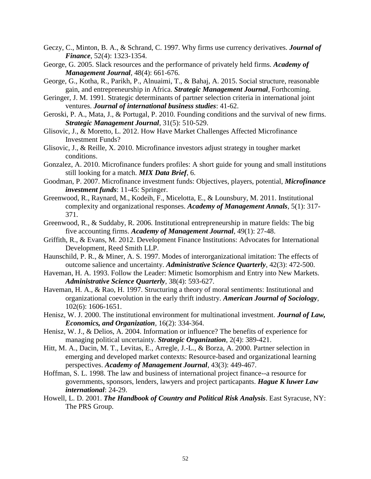- Geczy, C., Minton, B. A., & Schrand, C. 1997. Why firms use currency derivatives. *Journal of Finance*, 52(4): 1323-1354.
- George, G. 2005. Slack resources and the performance of privately held firms. *Academy of Management Journal*, 48(4): 661-676.
- George, G., Kotha, R., Parikh, P., Alnuaimi, T., & Bahaj, A. 2015. Social structure, reasonable gain, and entrepreneurship in Africa. *Strategic Management Journal*, Forthcoming.
- Geringer, J. M. 1991. Strategic determinants of partner selection criteria in international joint ventures. *Journal of international business studies*: 41-62.
- Geroski, P. A., Mata, J., & Portugal, P. 2010. Founding conditions and the survival of new firms. *Strategic Management Journal*, 31(5): 510-529.
- Glisovic, J., & Moretto, L. 2012. How Have Market Challenges Affected Microfinance Investment Funds?
- Glisovic, J., & Reille, X. 2010. Microfinance investors adjust strategy in tougher market conditions.
- Gonzalez, A. 2010. Microfinance funders profiles: A short guide for young and small institutions still looking for a match. *MIX Data Brief*, 6.
- Goodman, P. 2007. Microfinance investment funds: Objectives, players, potential, *Microfinance investment funds*: 11-45: Springer.
- Greenwood, R., Raynard, M., Kodeih, F., Micelotta, E., & Lounsbury, M. 2011. Institutional complexity and organizational responses. *Academy of Management Annals*, 5(1): 317- 371.
- Greenwood, R., & Suddaby, R. 2006. Institutional entrepreneurship in mature fields: The big five accounting firms. *Academy of Management Journal*, 49(1): 27-48.
- Griffith, R., & Evans, M. 2012. Development Finance Institutions: Advocates for International Development, Reed Smith LLP.
- Haunschild, P. R., & Miner, A. S. 1997. Modes of interorganizational imitation: The effects of outcome salience and uncertainty. *Administrative Science Quarterly*, 42(3): 472-500.
- Haveman, H. A. 1993. Follow the Leader: Mimetic Isomorphism and Entry into New Markets. *Administrative Science Quarterly*, 38(4): 593-627.
- Haveman, H. A., & Rao, H. 1997. Structuring a theory of moral sentiments: Institutional and organizational coevolution in the early thrift industry. *American Journal of Sociology*, 102(6): 1606-1651.
- Henisz, W. J. 2000. The institutional environment for multinational investment. *Journal of Law, Economics, and Organization*, 16(2): 334-364.
- Henisz, W. J., & Delios, A. 2004. Information or influence? The benefits of experience for managing political uncertainty. *Strategic Organization*, 2(4): 389-421.
- Hitt, M. A., Dacin, M. T., Levitas, E., Arregle, J.-L., & Borza, A. 2000. Partner selection in emerging and developed market contexts: Resource-based and organizational learning perspectives. *Academy of Management Journal*, 43(3): 449-467.
- Hoffman, S. L. 1998. The law and business of international project finance--a resource for governments, sponsors, lenders, lawyers and project particapants. *Hague K luwer Law international*: 24-29.
- Howell, L. D. 2001. *The Handbook of Country and Political Risk Analysis*. East Syracuse, NY: The PRS Group.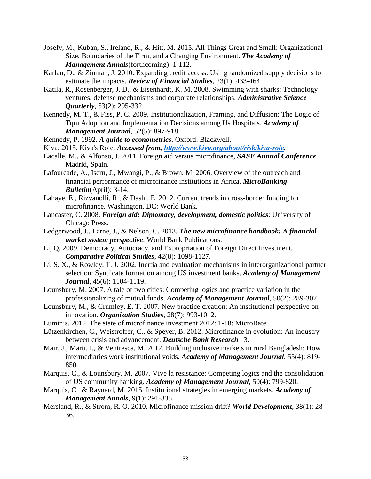- Josefy, M., Kuban, S., Ireland, R., & Hitt, M. 2015. All Things Great and Small: Organizational Size, Boundaries of the Firm, and a Changing Environment. *The Academy of Management Annals*(forthcoming): 1-112.
- Karlan, D., & Zinman, J. 2010. Expanding credit access: Using randomized supply decisions to estimate the impacts. *Review of Financial Studies*, 23(1): 433-464.
- Katila, R., Rosenberger, J. D., & Eisenhardt, K. M. 2008. Swimming with sharks: Technology ventures, defense mechanisms and corporate relationships. *Administrative Science Quarterly*, 53(2): 295-332.
- Kennedy, M. T., & Fiss, P. C. 2009. Institutionalization, Framing, and Diffusion: The Logic of Tqm Adoption and Implementation Decisions among Us Hospitals. *Academy of Management Journal*, 52(5): 897-918.
- Kennedy, P. 1992. *A guide to econometrics*. Oxford: Blackwell.
- Kiva. 2015. Kiva's Role. *Accessed from, [http://www.kiva.org/about/risk/kiva-role.](http://www.kiva.org/about/risk/kiva-role)*
- Lacalle, M., & Alfonso, J. 2011. Foreign aid versus microfinance, *SASE Annual Conference*. Madrid, Spain.
- Lafourcade, A., Isern, J., Mwangi, P., & Brown, M. 2006. Overview of the outreach and financial performance of microfinance institutions in Africa. *MicroBanking Bulletin*(April): 3-14.
- Lahaye, E., Rizvanolli, R., & Dashi, E. 2012. Current trends in cross-border funding for microfinance. Washington, DC: World Bank.
- Lancaster, C. 2008. *Foreign aid: Diplomacy, development, domestic politics*: University of Chicago Press.
- Ledgerwood, J., Earne, J., & Nelson, C. 2013. *The new microfinance handbook: A financial market system perspective*: World Bank Publications.
- Li, Q. 2009. Democracy, Autocracy, and Expropriation of Foreign Direct Investment. *Comparative Political Studies*, 42(8): 1098-1127.
- Li, S. X., & Rowley, T. J. 2002. Inertia and evaluation mechanisms in interorganizational partner selection: Syndicate formation among US investment banks. *Academy of Management Journal*, 45(6): 1104-1119.
- Lounsbury, M. 2007. A tale of two cities: Competing logics and practice variation in the professionalizing of mutual funds. *Academy of Management Journal*, 50(2): 289-307.
- Lounsbury, M., & Crumley, E. T. 2007. New practice creation: An institutional perspective on innovation. *Organization Studies*, 28(7): 993-1012.
- Luminis. 2012. The state of microfinance investment 2012: 1-18: MicroRate.
- Lützenkirchen, C., Weistroffer, C., & Speyer, B. 2012. Microfinance in evolution: An industry between crisis and advancement. *Deutsche Bank Research* 13.
- Mair, J., Marti, I., & Ventresca, M. 2012. Building inclusive markets in rural Bangladesh: How intermediaries work institutional voids. *Academy of Management Journal*, 55(4): 819- 850.
- Marquis, C., & Lounsbury, M. 2007. Vive la resistance: Competing logics and the consolidation of US community banking. *Academy of Management Journal*, 50(4): 799-820.
- Marquis, C., & Raynard, M. 2015. Institutional strategies in emerging markets. *Academy of Management Annals*, 9(1): 291-335.
- Mersland, R., & Strom, R. O. 2010. Microfinance mission drift? *World Development*, 38(1): 28- 36.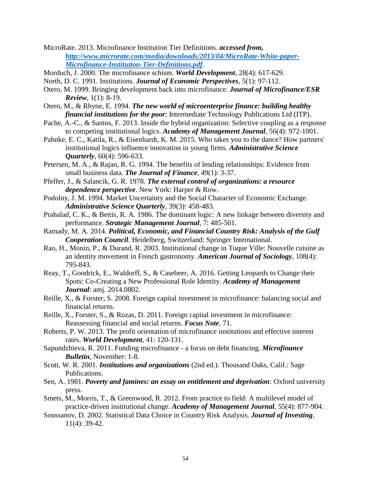- MicroRate. 2013. Microfinance Institution Tier Definitions. *accessed from, [http://www.microrate.com/media/downloads/2013/04/MicroRate-White-paper-](http://www.microrate.com/media/downloads/2013/04/MicroRate-White-paper-Microfinance-Institution-Tier-Definitions.pdf)[Microfinance-Institution-Tier-Definitions.pdf](http://www.microrate.com/media/downloads/2013/04/MicroRate-White-paper-Microfinance-Institution-Tier-Definitions.pdf)*.
- Morduch, J. 2000. The microfinance schism. *World Development*, 28(4): 617-629.
- North, D. C. 1991. Institutions. *Journal of Economic Perspectives*, 5(1): 97-112.
- Otero, M. 1999. Bringing development back into microfinance. *Journal of Microfinance/ESR Review*, 1(1): 8-19.
- Otero, M., & Rhyne, E. 1994. *The new world of microenterprise finance: building healthy financial institutions for the poor*: Intermediate Technology Publications Ltd (ITP).
- Pache, A.-C., & Santos, F. 2013. Inside the hybrid organization: Selective coupling as a response to competing institutional logics. *Academy of Management Journal*, 56(4): 972-1001.
- Pahnke, E. C., Katila, R., & Eisenhardt, K. M. 2015. Who takes you to the dance? How partners' institutional logics influence innovation in young firms. *Administrative Science Quarterly*, 60(4): 596-633.
- Petersen, M. A., & Rajan, R. G. 1994. The benefits of lending relationships: Evidence from small business data. *The Journal of Finance*, 49(1): 3-37.
- Pfeffer, J., & Salancik, G. R. 1978. *The external control of organizations: a resource dependence perspective*. New York: Harper & Row.
- Podolny, J. M. 1994. Market Uncertainty and the Social Character of Economic Exchange. *Administrative Science Quarterly*, 39(3): 458-483.
- Prahalad, C. K., & Bettis, R. A. 1986. The dominant logic: A new linkage between diversity and performance. *Strategic Management Journal*, 7: 485-501.
- Ramady, M. A. 2014. *Political, Economic, and Financial Country Risk: Analysis of the Gulf Cooperation Council*. Heidelberg, Switzerland: Springer International.
- Rao, H., Monin, P., & Durand, R. 2003. Institutional change in Toque Ville: Nouvelle cuisine as an identity movement in French gastronomy. *American Journal of Sociology*, 108(4): 795-843.
- Reay, T., Goodrick, E., Waldorff, S., & Casebeer, A. 2016. Getting Leopards to Change their Spots: Co-Creating a New Professional Role Identity. *Academy of Management Journal*: amj. 2014.0802.
- Reille, X., & Forster, S. 2008. Foreign capital investment in microfinance: balancing social and financial returns.
- Reille, X., Forster, S., & Rozas, D. 2011. Foreign capital investment in microfinance: Reassessing financial and social returns. *Focus Note*, 71.
- Roberts, P. W. 2013. The profit orientation of microfinance institutions and effective interest rates. *World Development*, 41: 120-131.
- Sapundzhieva, R. 2011. Funding microfinance a focus on debt financing. *Microfinance Bulletin*, November: 1-8.
- Scott, W. R. 2001. *Institutions and organizations* (2nd ed.). Thousand Oaks, Calif.: Sage Publications.
- Sen, A. 1981. *Poverty and famines: an essay on entitlement and deprivation*: Oxford university press.
- Smets, M., Morris, T., & Greenwood, R. 2012. From practice to field: A multilevel model of practice-driven institutional change. *Academy of Management Journal*, 55(4): 877-904.
- Soussanov, D. 2002. Statistical Data Choice in Country Risk Analysis. *Journal of Investing*, 11(4): 39-42.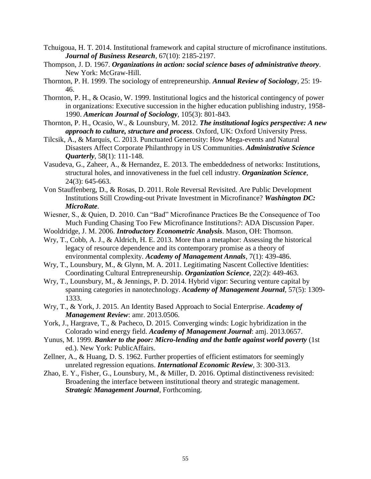- Tchuigoua, H. T. 2014. Institutional framework and capital structure of microfinance institutions. *Journal of Business Research*, 67(10): 2185-2197.
- Thompson, J. D. 1967. *Organizations in action: social science bases of administrative theory*. New York: McGraw-Hill.
- Thornton, P. H. 1999. The sociology of entrepreneurship. *Annual Review of Sociology*, 25: 19- 46.
- Thornton, P. H., & Ocasio, W. 1999. Institutional logics and the historical contingency of power in organizations: Executive succession in the higher education publishing industry, 1958- 1990. *American Journal of Sociology*, 105(3): 801-843.
- Thornton, P. H., Ocasio, W., & Lounsbury, M. 2012. *The institutional logics perspective: A new approach to culture, structure and process*. Oxford, UK: Oxford University Press.
- Tilcsik, A., & Marquis, C. 2013. Punctuated Generosity: How Mega-events and Natural Disasters Affect Corporate Philanthropy in US Communities. *Administrative Science Quarterly*, 58(1): 111-148.
- Vasudeva, G., Zaheer, A., & Hernandez, E. 2013. The embeddedness of networks: Institutions, structural holes, and innovativeness in the fuel cell industry. *Organization Science*, 24(3): 645-663.
- Von Stauffenberg, D., & Rosas, D. 2011. Role Reversal Revisited. Are Public Development Institutions Still Crowding-out Private Investment in Microfinance? *Washington DC: MicroRate*.
- Wiesner, S., & Quien, D. 2010. Can "Bad" Microfinance Practices Be the Consequence of Too Much Funding Chasing Too Few Microfinance Institutions?: ADA Discussion Paper.
- Wooldridge, J. M. 2006. *Introductory Econometric Analysis*. Mason, OH: Thomson.
- Wry, T., Cobb, A. J., & Aldrich, H. E. 2013. More than a metaphor: Assessing the historical legacy of resource dependence and its contemporary promise as a theory of environmental complexity. *Academy of Management Annals*, 7(1): 439-486.
- Wry, T., Lounsbury, M., & Glynn, M. A. 2011. Legitimating Nascent Collective Identities: Coordinating Cultural Entrepreneurship. *Organization Science*, 22(2): 449-463.
- Wry, T., Lounsbury, M., & Jennings, P. D. 2014. Hybrid vigor: Securing venture capital by spanning categories in nanotechnology. *Academy of Management Journal*, 57(5): 1309- 1333.
- Wry, T., & York, J. 2015. An Identity Based Approach to Social Enterprise. *Academy of Management Review*: amr. 2013.0506.
- York, J., Hargrave, T., & Pacheco, D. 2015. Converging winds: Logic hybridization in the Colorado wind energy field. *Academy of Management Journal*: amj. 2013.0657.
- Yunus, M. 1999. *Banker to the poor: Micro-lending and the battle against world poverty* (1st ed.). New York: PublicAffairs.
- Zellner, A., & Huang, D. S. 1962. Further properties of efficient estimators for seemingly unrelated regression equations. *International Economic Review*, 3: 300-313.
- Zhao, E. Y., Fisher, G., Lounsbury, M., & Miller, D. 2016. Optimal distinctiveness revisited: Broadening the interface between institutional theory and strategic management. *Strategic Management Journal*, Forthcoming.